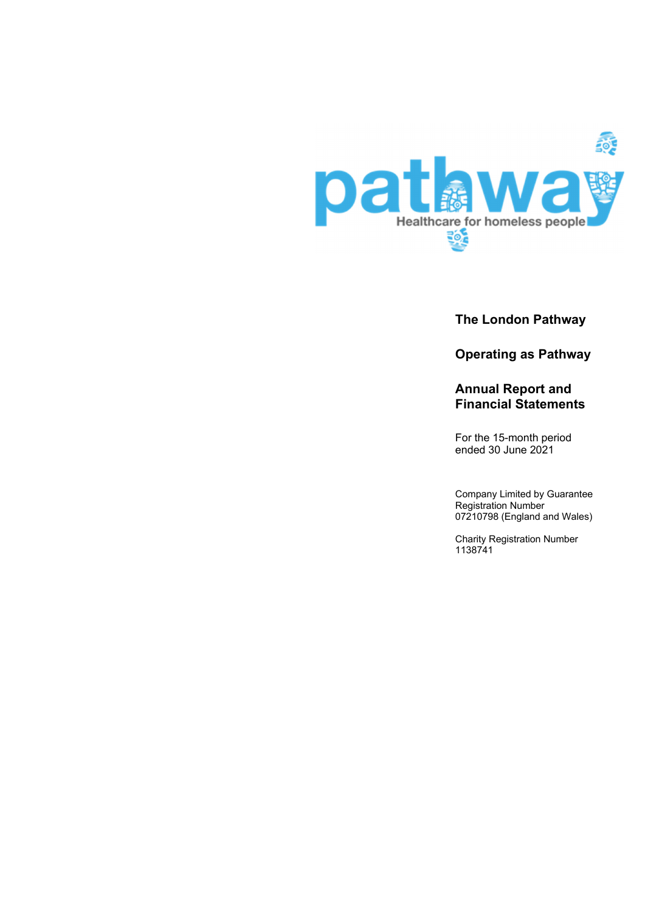

**The London Pathway** 

**Operating as Pathway** 

# **Annual Report and Financial Statements**

For the 15-month period ended 30 June 2021

Company Limited by Guarantee Registration Number 07210798 (England and Wales)

Charity Registration Number 1138741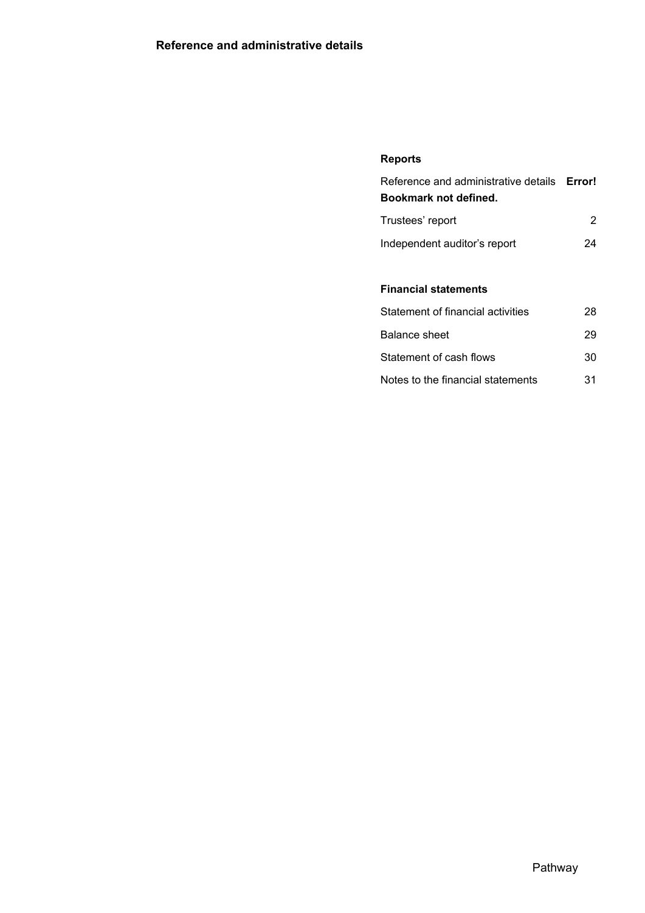# **Reports**

| Reference and administrative details <b>Error!</b><br>Bookmark not defined. |    |
|-----------------------------------------------------------------------------|----|
| Trustees' report                                                            | 2  |
| Independent auditor's report                                                | 24 |
|                                                                             |    |
| <b>Financial statements</b>                                                 |    |
| Statement of financial activities                                           | 28 |
| Balance sheet                                                               | 29 |
| Statement of cash flows                                                     | 30 |
| Notes to the financial statements                                           | 31 |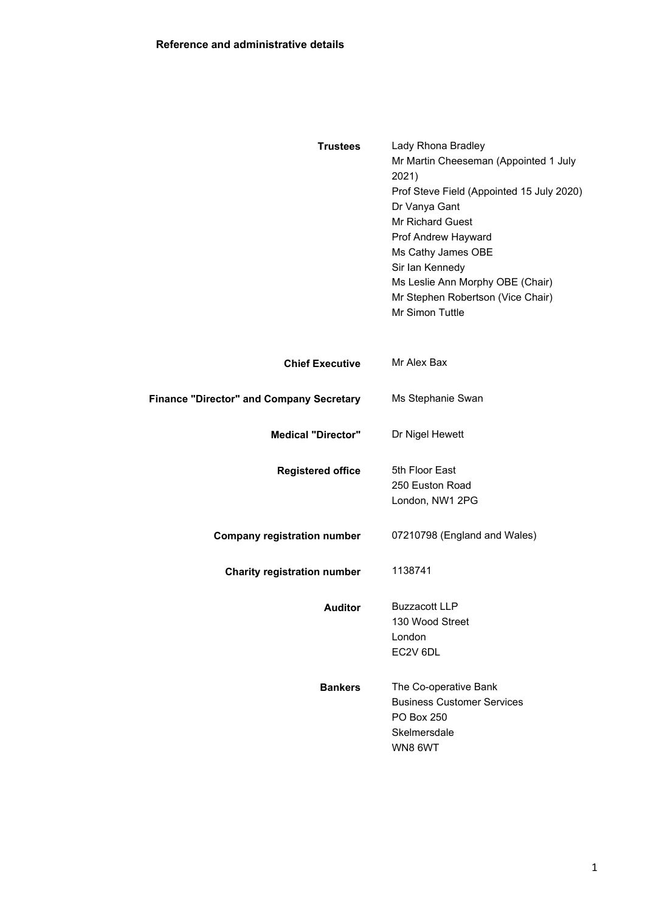| <b>Trustees</b>                                 | Lady Rhona Bradley<br>Mr Martin Cheeseman (Appointed 1 July<br>2021)<br>Prof Steve Field (Appointed 15 July 2020)<br>Dr Vanya Gant<br>Mr Richard Guest<br>Prof Andrew Hayward<br>Ms Cathy James OBE<br>Sir Ian Kennedy<br>Ms Leslie Ann Morphy OBE (Chair)<br>Mr Stephen Robertson (Vice Chair)<br>Mr Simon Tuttle |  |  |
|-------------------------------------------------|--------------------------------------------------------------------------------------------------------------------------------------------------------------------------------------------------------------------------------------------------------------------------------------------------------------------|--|--|
| <b>Chief Executive</b>                          | Mr Alex Bax                                                                                                                                                                                                                                                                                                        |  |  |
| <b>Finance "Director" and Company Secretary</b> | Ms Stephanie Swan                                                                                                                                                                                                                                                                                                  |  |  |
| <b>Medical "Director"</b>                       | Dr Nigel Hewett                                                                                                                                                                                                                                                                                                    |  |  |
| <b>Registered office</b>                        | 5th Floor East<br>250 Euston Road<br>London, NW1 2PG                                                                                                                                                                                                                                                               |  |  |
| <b>Company registration number</b>              | 07210798 (England and Wales)                                                                                                                                                                                                                                                                                       |  |  |
| <b>Charity registration number</b>              | 1138741                                                                                                                                                                                                                                                                                                            |  |  |
| <b>Auditor</b>                                  | <b>Buzzacott LLP</b><br>130 Wood Street<br>London<br>EC2V 6DL                                                                                                                                                                                                                                                      |  |  |
| <b>Bankers</b>                                  | The Co-operative Bank<br><b>Business Customer Services</b><br>PO Box 250<br>Skelmersdale<br>WN8 6WT                                                                                                                                                                                                                |  |  |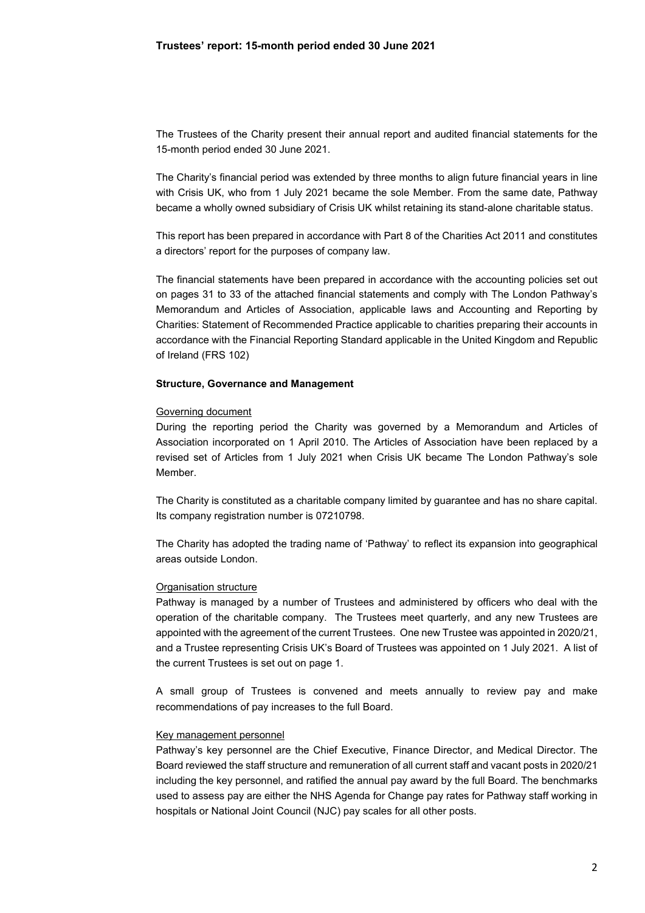The Trustees of the Charity present their annual report and audited financial statements for the 15-month period ended 30 June 2021.

The Charity's financial period was extended by three months to align future financial years in line with Crisis UK, who from 1 July 2021 became the sole Member. From the same date, Pathway became a wholly owned subsidiary of Crisis UK whilst retaining its stand-alone charitable status.

This report has been prepared in accordance with Part 8 of the Charities Act 2011 and constitutes a directors' report for the purposes of company law.

The financial statements have been prepared in accordance with the accounting policies set out on pages 31 to 33 of the attached financial statements and comply with The London Pathway's Memorandum and Articles of Association, applicable laws and Accounting and Reporting by Charities: Statement of Recommended Practice applicable to charities preparing their accounts in accordance with the Financial Reporting Standard applicable in the United Kingdom and Republic of Ireland (FRS 102)

#### **Structure, Governance and Management**

### Governing document

During the reporting period the Charity was governed by a Memorandum and Articles of Association incorporated on 1 April 2010. The Articles of Association have been replaced by a revised set of Articles from 1 July 2021 when Crisis UK became The London Pathway's sole Member.

The Charity is constituted as a charitable company limited by guarantee and has no share capital. Its company registration number is 07210798.

The Charity has adopted the trading name of 'Pathway' to reflect its expansion into geographical areas outside London.

### Organisation structure

Pathway is managed by a number of Trustees and administered by officers who deal with the operation of the charitable company. The Trustees meet quarterly, and any new Trustees are appointed with the agreement of the current Trustees. One new Trustee was appointed in 2020/21, and a Trustee representing Crisis UK's Board of Trustees was appointed on 1 July 2021. A list of the current Trustees is set out on page 1.

A small group of Trustees is convened and meets annually to review pay and make recommendations of pay increases to the full Board.

### Key management personnel

Pathway's key personnel are the Chief Executive, Finance Director, and Medical Director. The Board reviewed the staff structure and remuneration of all current staff and vacant posts in 2020/21 including the key personnel, and ratified the annual pay award by the full Board. The benchmarks used to assess pay are either the NHS Agenda for Change pay rates for Pathway staff working in hospitals or National Joint Council (NJC) pay scales for all other posts.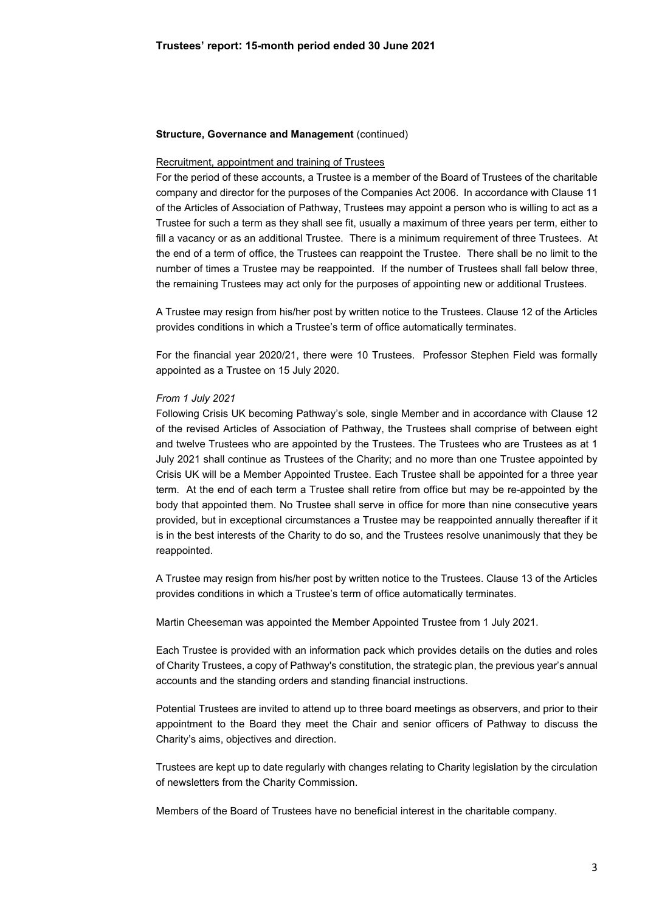#### **Structure, Governance and Management (continued)**

### Recruitment, appointment and training of Trustees

For the period of these accounts, a Trustee is a member of the Board of Trustees of the charitable company and director for the purposes of the Companies Act 2006. In accordance with Clause 11 of the Articles of Association of Pathway, Trustees may appoint a person who is willing to act as a Trustee for such a term as they shall see fit, usually a maximum of three years per term, either to fill a vacancy or as an additional Trustee. There is a minimum requirement of three Trustees. At the end of a term of office, the Trustees can reappoint the Trustee. There shall be no limit to the number of times a Trustee may be reappointed. If the number of Trustees shall fall below three, the remaining Trustees may act only for the purposes of appointing new or additional Trustees.

A Trustee may resign from his/her post by written notice to the Trustees. Clause 12 of the Articles provides conditions in which a Trustee's term of office automatically terminates.

For the financial year 2020/21, there were 10 Trustees. Professor Stephen Field was formally appointed as a Trustee on 15 July 2020.

### *From 1 July 2021*

Following Crisis UK becoming Pathway's sole, single Member and in accordance with Clause 12 of the revised Articles of Association of Pathway, the Trustees shall comprise of between eight and twelve Trustees who are appointed by the Trustees. The Trustees who are Trustees as at 1 July 2021 shall continue as Trustees of the Charity; and no more than one Trustee appointed by Crisis UK will be a Member Appointed Trustee. Each Trustee shall be appointed for a three year term. At the end of each term a Trustee shall retire from office but may be re-appointed by the body that appointed them. No Trustee shall serve in office for more than nine consecutive years provided, but in exceptional circumstances a Trustee may be reappointed annually thereafter if it is in the best interests of the Charity to do so, and the Trustees resolve unanimously that they be reappointed.

A Trustee may resign from his/her post by written notice to the Trustees. Clause 13 of the Articles provides conditions in which a Trustee's term of office automatically terminates.

Martin Cheeseman was appointed the Member Appointed Trustee from 1 July 2021.

Each Trustee is provided with an information pack which provides details on the duties and roles of Charity Trustees, a copy of Pathway's constitution, the strategic plan, the previous year's annual accounts and the standing orders and standing financial instructions.

Potential Trustees are invited to attend up to three board meetings as observers, and prior to their appointment to the Board they meet the Chair and senior officers of Pathway to discuss the Charity's aims, objectives and direction.

Trustees are kept up to date regularly with changes relating to Charity legislation by the circulation of newsletters from the Charity Commission.

Members of the Board of Trustees have no beneficial interest in the charitable company.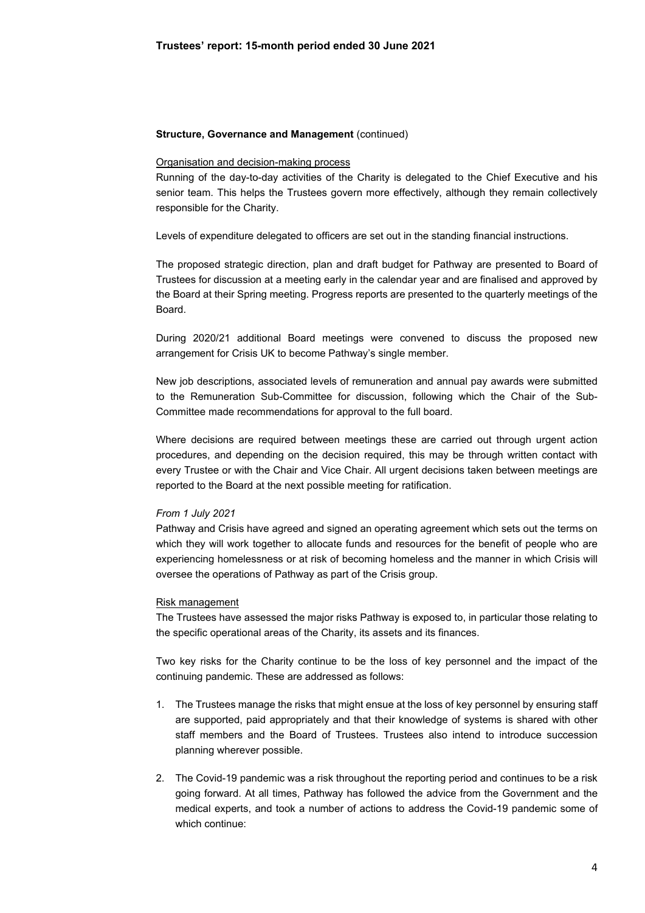#### **Structure, Governance and Management (continued)**

### Organisation and decision-making process

Running of the day-to-day activities of the Charity is delegated to the Chief Executive and his senior team. This helps the Trustees govern more effectively, although they remain collectively responsible for the Charity.

Levels of expenditure delegated to officers are set out in the standing financial instructions.

The proposed strategic direction, plan and draft budget for Pathway are presented to Board of Trustees for discussion at a meeting early in the calendar year and are finalised and approved by the Board at their Spring meeting. Progress reports are presented to the quarterly meetings of the Board.

During 2020/21 additional Board meetings were convened to discuss the proposed new arrangement for Crisis UK to become Pathway's single member.

New job descriptions, associated levels of remuneration and annual pay awards were submitted to the Remuneration Sub-Committee for discussion, following which the Chair of the Sub-Committee made recommendations for approval to the full board.

Where decisions are required between meetings these are carried out through urgent action procedures, and depending on the decision required, this may be through written contact with every Trustee or with the Chair and Vice Chair. All urgent decisions taken between meetings are reported to the Board at the next possible meeting for ratification.

#### *From 1 July 2021*

Pathway and Crisis have agreed and signed an operating agreement which sets out the terms on which they will work together to allocate funds and resources for the benefit of people who are experiencing homelessness or at risk of becoming homeless and the manner in which Crisis will oversee the operations of Pathway as part of the Crisis group.

#### Risk management

The Trustees have assessed the major risks Pathway is exposed to, in particular those relating to the specific operational areas of the Charity, its assets and its finances.

Two key risks for the Charity continue to be the loss of key personnel and the impact of the continuing pandemic. These are addressed as follows:

- 1. The Trustees manage the risks that might ensue at the loss of key personnel by ensuring staff are supported, paid appropriately and that their knowledge of systems is shared with other staff members and the Board of Trustees. Trustees also intend to introduce succession planning wherever possible.
- 2. The Covid-19 pandemic was a risk throughout the reporting period and continues to be a risk going forward. At all times, Pathway has followed the advice from the Government and the medical experts, and took a number of actions to address the Covid-19 pandemic some of which continue: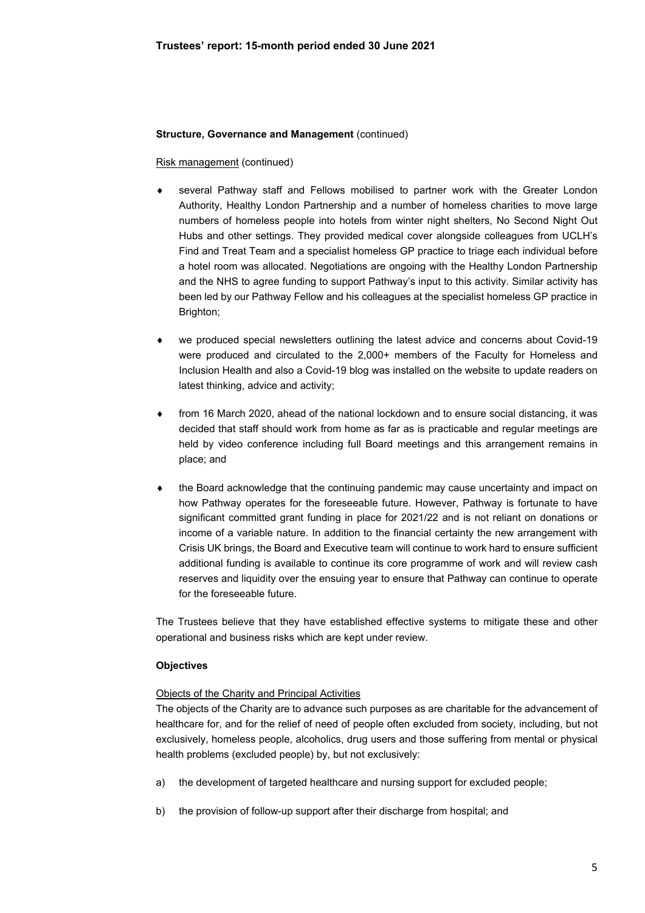### **Structure, Governance and Management (continued)**

### Risk management (continued)

- several Pathway staff and Fellows mobilised to partner work with the Greater London Authority, Healthy London Partnership and a number of homeless charities to move large numbers of homeless people into hotels from winter night shelters, No Second Night Out Hubs and other settings. They provided medical cover alongside colleagues from UCLH's Find and Treat Team and a specialist homeless GP practice to triage each individual before a hotel room was allocated. Negotiations are ongoing with the Healthy London Partnership and the NHS to agree funding to support Pathway's input to this activity. Similar activity has been led by our Pathway Fellow and his colleagues at the specialist homeless GP practice in Brighton;
- we produced special newsletters outlining the latest advice and concerns about Covid-19 were produced and circulated to the 2,000+ members of the Faculty for Homeless and Inclusion Health and also a Covid-19 blog was installed on the website to update readers on latest thinking, advice and activity;
- from 16 March 2020, ahead of the national lockdown and to ensure social distancing, it was decided that staff should work from home as far as is practicable and regular meetings are held by video conference including full Board meetings and this arrangement remains in place; and
- the Board acknowledge that the continuing pandemic may cause uncertainty and impact on how Pathway operates for the foreseeable future. However, Pathway is fortunate to have significant committed grant funding in place for 2021/22 and is not reliant on donations or income of a variable nature. In addition to the financial certainty the new arrangement with Crisis UK brings, the Board and Executive team will continue to work hard to ensure sufficient additional funding is available to continue its core programme of work and will review cash reserves and liquidity over the ensuing year to ensure that Pathway can continue to operate for the foreseeable future.

The Trustees believe that they have established effective systems to mitigate these and other operational and business risks which are kept under review.

### **Objectives**

### Objects of the Charity and Principal Activities

The objects of the Charity are to advance such purposes as are charitable for the advancement of healthcare for, and for the relief of need of people often excluded from society, including, but not exclusively, homeless people, alcoholics, drug users and those suffering from mental or physical health problems (excluded people) by, but not exclusively:

- a) the development of targeted healthcare and nursing support for excluded people;
- b) the provision of follow-up support after their discharge from hospital; and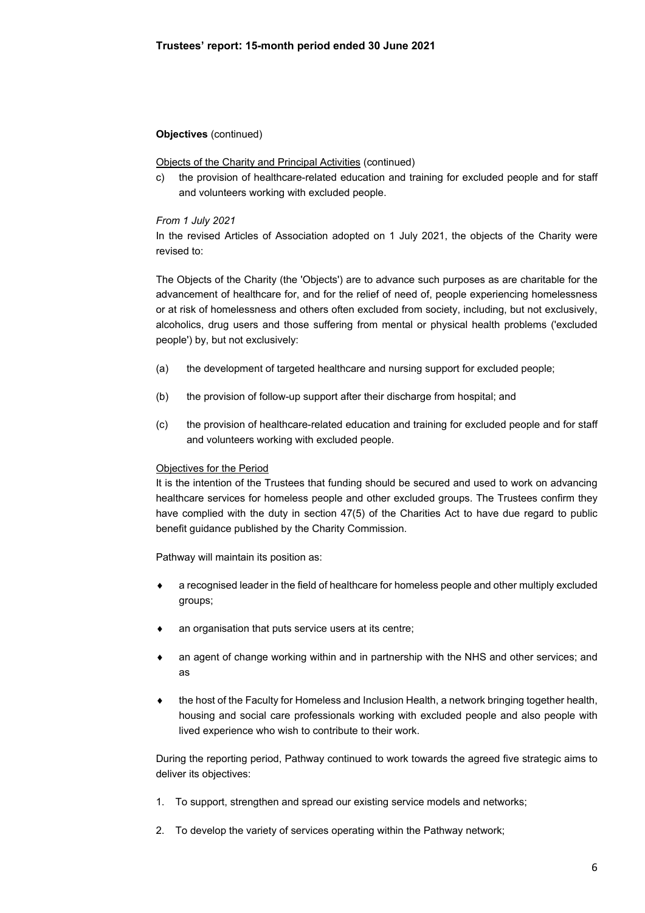# **Objectives** (continued)

### Objects of the Charity and Principal Activities (continued)

c) the provision of healthcare-related education and training for excluded people and for staff and volunteers working with excluded people.

### *From 1 July 2021*

In the revised Articles of Association adopted on 1 July 2021, the objects of the Charity were revised to:

The Objects of the Charity (the 'Objects') are to advance such purposes as are charitable for the advancement of healthcare for, and for the relief of need of, people experiencing homelessness or at risk of homelessness and others often excluded from society, including, but not exclusively, alcoholics, drug users and those suffering from mental or physical health problems ('excluded people') by, but not exclusively:

- (a) the development of targeted healthcare and nursing support for excluded people;
- (b) the provision of follow-up support after their discharge from hospital; and
- (c) the provision of healthcare-related education and training for excluded people and for staff and volunteers working with excluded people.

### Objectives for the Period

It is the intention of the Trustees that funding should be secured and used to work on advancing healthcare services for homeless people and other excluded groups. The Trustees confirm they have complied with the duty in section 47(5) of the Charities Act to have due regard to public benefit guidance published by the Charity Commission.

Pathway will maintain its position as:

- a recognised leader in the field of healthcare for homeless people and other multiply excluded groups;
- an organisation that puts service users at its centre;
- an agent of change working within and in partnership with the NHS and other services; and as
- the host of the Faculty for Homeless and Inclusion Health, a network bringing together health, housing and social care professionals working with excluded people and also people with lived experience who wish to contribute to their work.

During the reporting period, Pathway continued to work towards the agreed five strategic aims to deliver its objectives:

- 1. To support, strengthen and spread our existing service models and networks;
- 2. To develop the variety of services operating within the Pathway network;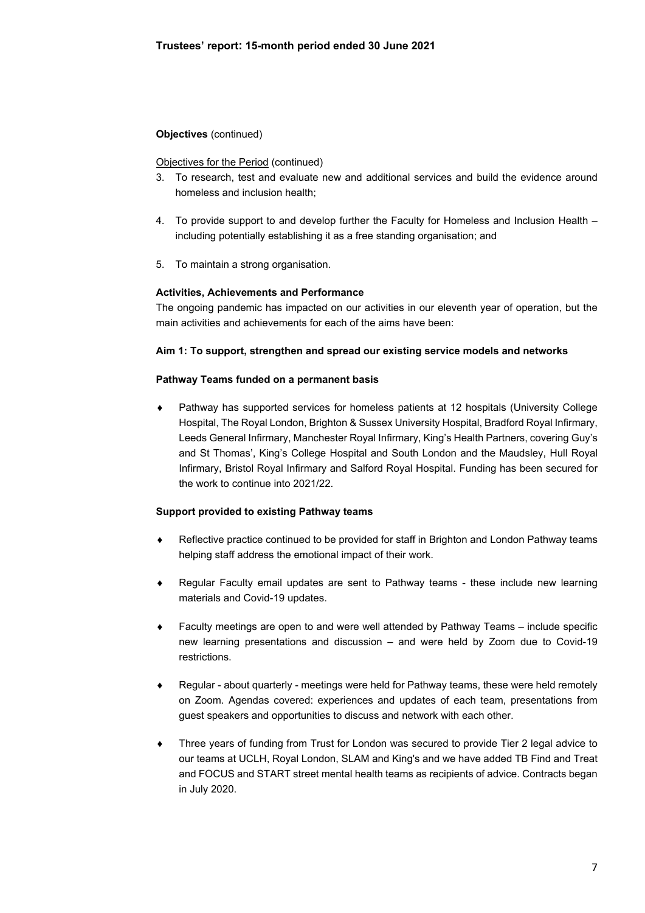# **Objectives** (continued)

### Objectives for the Period (continued)

- 3. To research, test and evaluate new and additional services and build the evidence around homeless and inclusion health;
- 4. To provide support to and develop further the Faculty for Homeless and Inclusion Health including potentially establishing it as a free standing organisation; and
- 5. To maintain a strong organisation.

## **Activities, Achievements and Performance**

The ongoing pandemic has impacted on our activities in our eleventh year of operation, but the main activities and achievements for each of the aims have been:

### **Aim 1: To support, strengthen and spread our existing service models and networks**

### **Pathway Teams funded on a permanent basis**

 Pathway has supported services for homeless patients at 12 hospitals (University College Hospital, The Royal London, Brighton & Sussex University Hospital, Bradford Royal Infirmary, Leeds General Infirmary, Manchester Royal Infirmary, King's Health Partners, covering Guy's and St Thomas', King's College Hospital and South London and the Maudsley, Hull Royal Infirmary, Bristol Royal Infirmary and Salford Royal Hospital. Funding has been secured for the work to continue into 2021/22.

# **Support provided to existing Pathway teams**

- Reflective practice continued to be provided for staff in Brighton and London Pathway teams helping staff address the emotional impact of their work.
- Regular Faculty email updates are sent to Pathway teams these include new learning materials and Covid-19 updates.
- Faculty meetings are open to and were well attended by Pathway Teams include specific new learning presentations and discussion – and were held by Zoom due to Covid-19 restrictions.
- Regular about quarterly meetings were held for Pathway teams, these were held remotely on Zoom. Agendas covered: experiences and updates of each team, presentations from guest speakers and opportunities to discuss and network with each other.
- Three years of funding from Trust for London was secured to provide Tier 2 legal advice to our teams at UCLH, Royal London, SLAM and King's and we have added TB Find and Treat and FOCUS and START street mental health teams as recipients of advice. Contracts began in July 2020.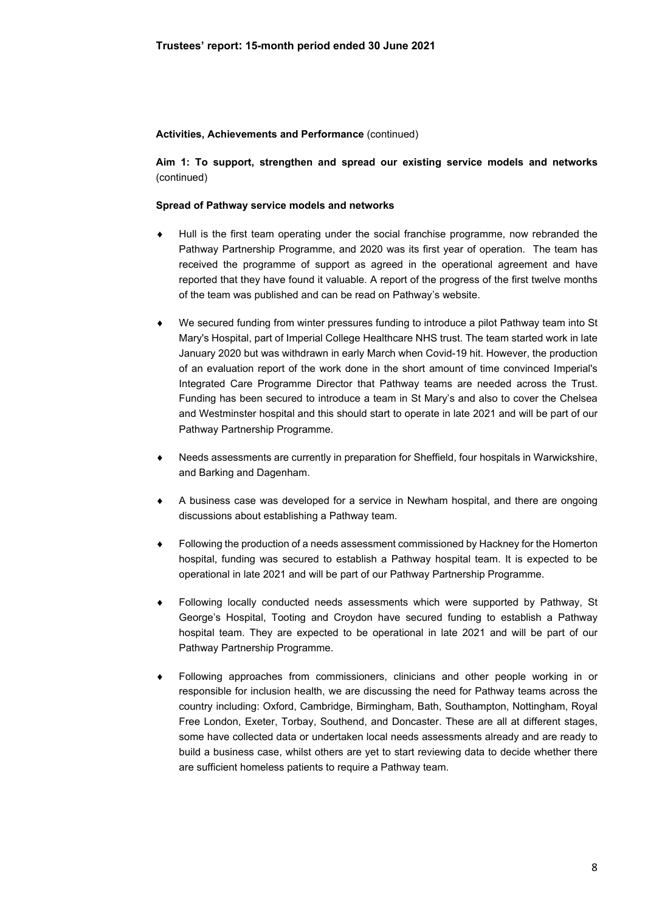**Aim 1: To support, strengthen and spread our existing service models and networks**  (continued)

### **Spread of Pathway service models and networks**

- Hull is the first team operating under the social franchise programme, now rebranded the Pathway Partnership Programme, and 2020 was its first year of operation. The team has received the programme of support as agreed in the operational agreement and have reported that they have found it valuable. A report of the progress of the first twelve months of the team was published and can be read on Pathway's website.
- We secured funding from winter pressures funding to introduce a pilot Pathway team into St Mary's Hospital, part of Imperial College Healthcare NHS trust. The team started work in late January 2020 but was withdrawn in early March when Covid-19 hit. However, the production of an evaluation report of the work done in the short amount of time convinced Imperial's Integrated Care Programme Director that Pathway teams are needed across the Trust. Funding has been secured to introduce a team in St Mary's and also to cover the Chelsea and Westminster hospital and this should start to operate in late 2021 and will be part of our Pathway Partnership Programme.
- Needs assessments are currently in preparation for Sheffield, four hospitals in Warwickshire, and Barking and Dagenham.
- A business case was developed for a service in Newham hospital, and there are ongoing discussions about establishing a Pathway team.
- Following the production of a needs assessment commissioned by Hackney for the Homerton hospital, funding was secured to establish a Pathway hospital team. It is expected to be operational in late 2021 and will be part of our Pathway Partnership Programme.
- Following locally conducted needs assessments which were supported by Pathway, St George's Hospital, Tooting and Croydon have secured funding to establish a Pathway hospital team. They are expected to be operational in late 2021 and will be part of our Pathway Partnership Programme.
- Following approaches from commissioners, clinicians and other people working in or responsible for inclusion health, we are discussing the need for Pathway teams across the country including: Oxford, Cambridge, Birmingham, Bath, Southampton, Nottingham, Royal Free London, Exeter, Torbay, Southend, and Doncaster. These are all at different stages, some have collected data or undertaken local needs assessments already and are ready to build a business case, whilst others are yet to start reviewing data to decide whether there are sufficient homeless patients to require a Pathway team.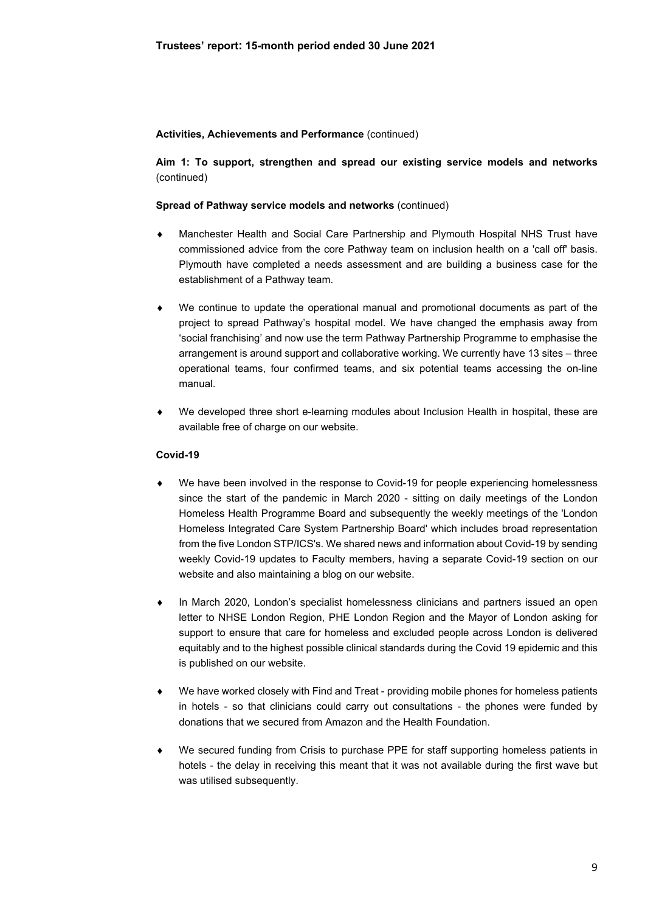**Aim 1: To support, strengthen and spread our existing service models and networks**  (continued)

### **Spread of Pathway service models and networks** (continued)

- Manchester Health and Social Care Partnership and Plymouth Hospital NHS Trust have commissioned advice from the core Pathway team on inclusion health on a 'call off' basis. Plymouth have completed a needs assessment and are building a business case for the establishment of a Pathway team.
- We continue to update the operational manual and promotional documents as part of the project to spread Pathway's hospital model. We have changed the emphasis away from 'social franchising' and now use the term Pathway Partnership Programme to emphasise the arrangement is around support and collaborative working. We currently have 13 sites – three operational teams, four confirmed teams, and six potential teams accessing the on-line manual.
- We developed three short e-learning modules about Inclusion Health in hospital, these are available free of charge on our website.

### **Covid-19**

- We have been involved in the response to Covid-19 for people experiencing homelessness since the start of the pandemic in March 2020 - sitting on daily meetings of the London Homeless Health Programme Board and subsequently the weekly meetings of the 'London Homeless Integrated Care System Partnership Board' which includes broad representation from the five London STP/ICS's. We shared news and information about Covid-19 by sending weekly Covid-19 updates to Faculty members, having a separate Covid-19 section on our website and also maintaining a blog on our website.
- In March 2020, London's specialist homelessness clinicians and partners issued an open letter to NHSE London Region, PHE London Region and the Mayor of London asking for support to ensure that care for homeless and excluded people across London is delivered equitably and to the highest possible clinical standards during the Covid 19 epidemic and this is published on our website.
- We have worked closely with Find and Treat providing mobile phones for homeless patients in hotels - so that clinicians could carry out consultations - the phones were funded by donations that we secured from Amazon and the Health Foundation.
- We secured funding from Crisis to purchase PPE for staff supporting homeless patients in hotels - the delay in receiving this meant that it was not available during the first wave but was utilised subsequently.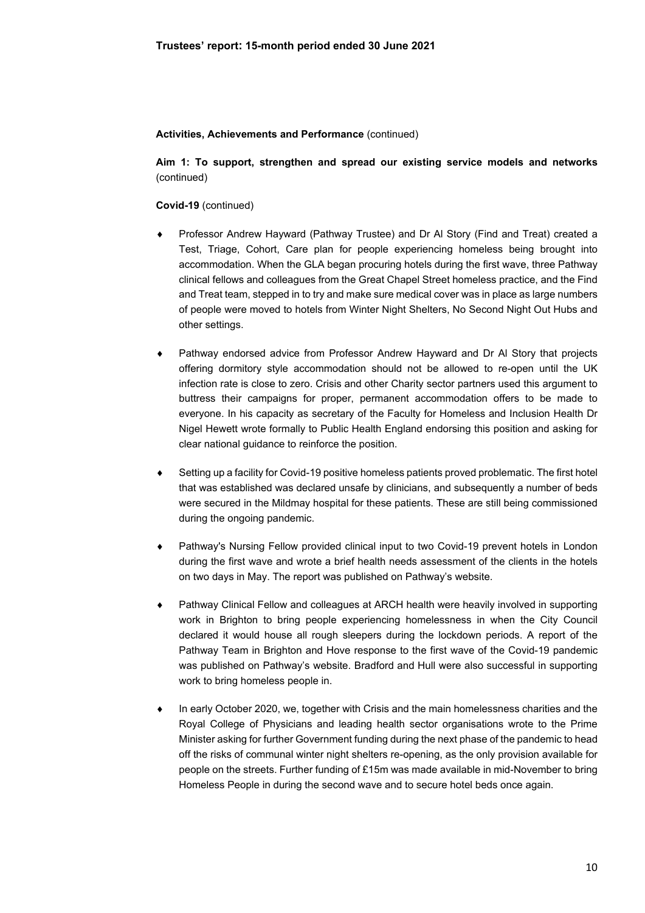**Aim 1: To support, strengthen and spread our existing service models and networks**  (continued)

### **Covid-19** (continued)

- Professor Andrew Hayward (Pathway Trustee) and Dr Al Story (Find and Treat) created a Test, Triage, Cohort, Care plan for people experiencing homeless being brought into accommodation. When the GLA began procuring hotels during the first wave, three Pathway clinical fellows and colleagues from the Great Chapel Street homeless practice, and the Find and Treat team, stepped in to try and make sure medical cover was in place as large numbers of people were moved to hotels from Winter Night Shelters, No Second Night Out Hubs and other settings.
- Pathway endorsed advice from Professor Andrew Hayward and Dr Al Story that projects offering dormitory style accommodation should not be allowed to re-open until the UK infection rate is close to zero. Crisis and other Charity sector partners used this argument to buttress their campaigns for proper, permanent accommodation offers to be made to everyone. In his capacity as secretary of the Faculty for Homeless and Inclusion Health Dr Nigel Hewett wrote formally to Public Health England endorsing this position and asking for clear national guidance to reinforce the position.
- Setting up a facility for Covid-19 positive homeless patients proved problematic. The first hotel that was established was declared unsafe by clinicians, and subsequently a number of beds were secured in the Mildmay hospital for these patients. These are still being commissioned during the ongoing pandemic.
- Pathway's Nursing Fellow provided clinical input to two Covid-19 prevent hotels in London during the first wave and wrote a brief health needs assessment of the clients in the hotels on two days in May. The report was published on Pathway's website.
- Pathway Clinical Fellow and colleagues at ARCH health were heavily involved in supporting work in Brighton to bring people experiencing homelessness in when the City Council declared it would house all rough sleepers during the lockdown periods. A report of the Pathway Team in Brighton and Hove response to the first wave of the Covid-19 pandemic was published on Pathway's website. Bradford and Hull were also successful in supporting work to bring homeless people in.
- In early October 2020, we, together with Crisis and the main homelessness charities and the Royal College of Physicians and leading health sector organisations wrote to the Prime Minister asking for further Government funding during the next phase of the pandemic to head off the risks of communal winter night shelters re-opening, as the only provision available for people on the streets. Further funding of £15m was made available in mid-November to bring Homeless People in during the second wave and to secure hotel beds once again.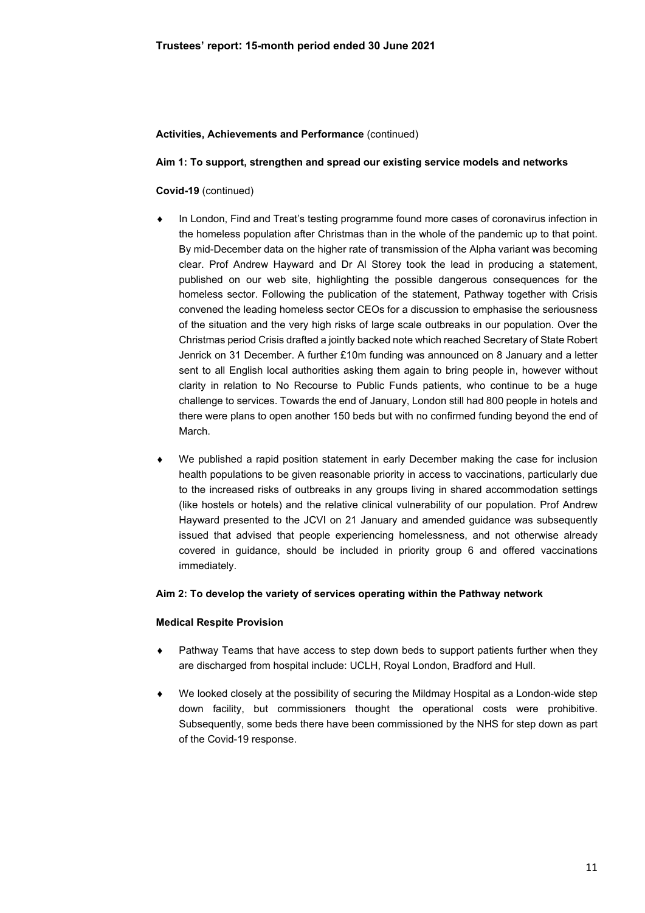### **Aim 1: To support, strengthen and spread our existing service models and networks**

## **Covid-19** (continued)

- In London, Find and Treat's testing programme found more cases of coronavirus infection in the homeless population after Christmas than in the whole of the pandemic up to that point. By mid-December data on the higher rate of transmission of the Alpha variant was becoming clear. Prof Andrew Hayward and Dr Al Storey took the lead in producing a statement, published on our web site, highlighting the possible dangerous consequences for the homeless sector. Following the publication of the statement, Pathway together with Crisis convened the leading homeless sector CEOs for a discussion to emphasise the seriousness of the situation and the very high risks of large scale outbreaks in our population. Over the Christmas period Crisis drafted a jointly backed note which reached Secretary of State Robert Jenrick on 31 December. A further £10m funding was announced on 8 January and a letter sent to all English local authorities asking them again to bring people in, however without clarity in relation to No Recourse to Public Funds patients, who continue to be a huge challenge to services. Towards the end of January, London still had 800 people in hotels and there were plans to open another 150 beds but with no confirmed funding beyond the end of March.
- We published a rapid position statement in early December making the case for inclusion health populations to be given reasonable priority in access to vaccinations, particularly due to the increased risks of outbreaks in any groups living in shared accommodation settings (like hostels or hotels) and the relative clinical vulnerability of our population. Prof Andrew Hayward presented to the JCVI on 21 January and amended guidance was subsequently issued that advised that people experiencing homelessness, and not otherwise already covered in guidance, should be included in priority group 6 and offered vaccinations immediately.

### **Aim 2: To develop the variety of services operating within the Pathway network**

### **Medical Respite Provision**

- Pathway Teams that have access to step down beds to support patients further when they are discharged from hospital include: UCLH, Royal London, Bradford and Hull.
- We looked closely at the possibility of securing the Mildmay Hospital as a London-wide step down facility, but commissioners thought the operational costs were prohibitive. Subsequently, some beds there have been commissioned by the NHS for step down as part of the Covid-19 response.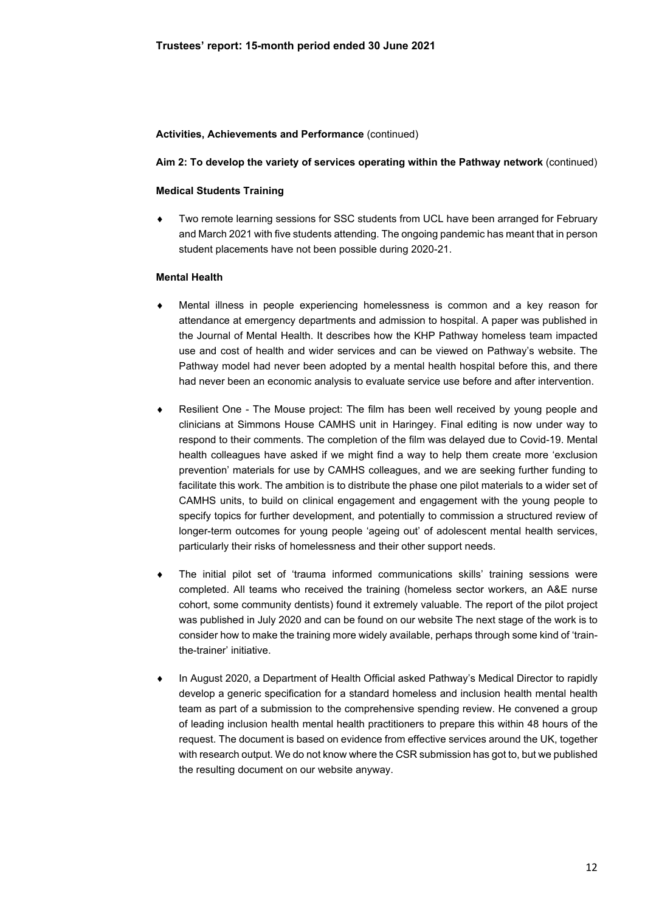### **Aim 2: To develop the variety of services operating within the Pathway network** (continued)

### **Medical Students Training**

 Two remote learning sessions for SSC students from UCL have been arranged for February and March 2021 with five students attending. The ongoing pandemic has meant that in person student placements have not been possible during 2020-21.

### **Mental Health**

- Mental illness in people experiencing homelessness is common and a key reason for attendance at emergency departments and admission to hospital. A paper was published in the Journal of Mental Health. It describes how the KHP Pathway homeless team impacted use and cost of health and wider services and can be viewed on Pathway's website. The Pathway model had never been adopted by a mental health hospital before this, and there had never been an economic analysis to evaluate service use before and after intervention.
- Resilient One The Mouse project: The film has been well received by young people and clinicians at Simmons House CAMHS unit in Haringey. Final editing is now under way to respond to their comments. The completion of the film was delayed due to Covid-19. Mental health colleagues have asked if we might find a way to help them create more 'exclusion prevention' materials for use by CAMHS colleagues, and we are seeking further funding to facilitate this work. The ambition is to distribute the phase one pilot materials to a wider set of CAMHS units, to build on clinical engagement and engagement with the young people to specify topics for further development, and potentially to commission a structured review of longer-term outcomes for young people 'ageing out' of adolescent mental health services, particularly their risks of homelessness and their other support needs.
- The initial pilot set of 'trauma informed communications skills' training sessions were completed. All teams who received the training (homeless sector workers, an A&E nurse cohort, some community dentists) found it extremely valuable. The report of the pilot project was published in July 2020 and can be found on our website The next stage of the work is to consider how to make the training more widely available, perhaps through some kind of 'trainthe-trainer' initiative.
- In August 2020, a Department of Health Official asked Pathway's Medical Director to rapidly develop a generic specification for a standard homeless and inclusion health mental health team as part of a submission to the comprehensive spending review. He convened a group of leading inclusion health mental health practitioners to prepare this within 48 hours of the request. The document is based on evidence from effective services around the UK, together with research output. We do not know where the CSR submission has got to, but we published the resulting document on our website anyway.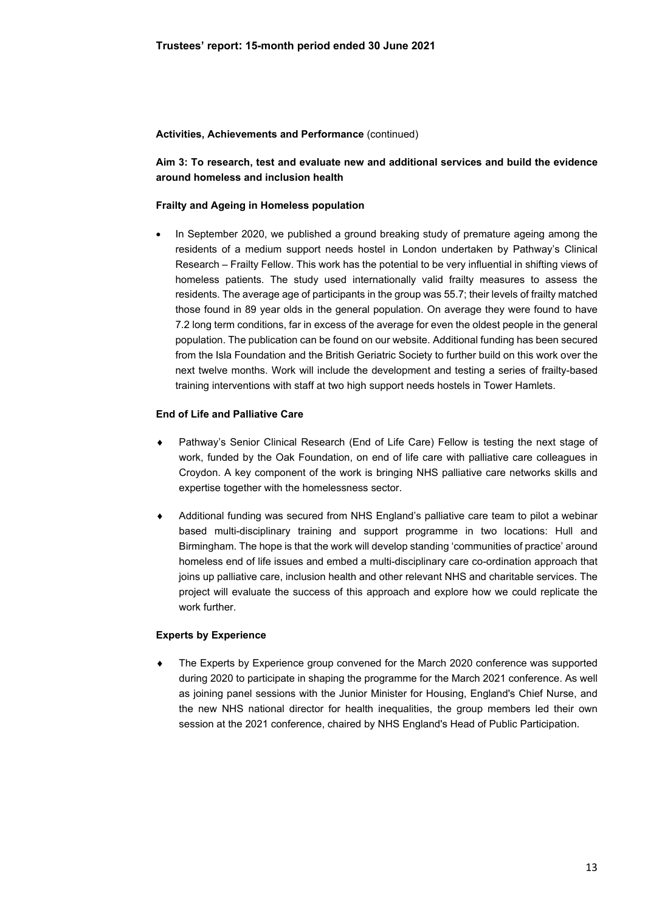# **Aim 3: To research, test and evaluate new and additional services and build the evidence around homeless and inclusion health**

# **Frailty and Ageing in Homeless population**

 In September 2020, we published a ground breaking study of premature ageing among the residents of a medium support needs hostel in London undertaken by Pathway's Clinical Research – Frailty Fellow. This work has the potential to be very influential in shifting views of homeless patients. The study used internationally valid frailty measures to assess the residents. The average age of participants in the group was 55.7; their levels of frailty matched those found in 89 year olds in the general population. On average they were found to have 7.2 long term conditions, far in excess of the average for even the oldest people in the general population. The publication can be found on our website. Additional funding has been secured from the Isla Foundation and the British Geriatric Society to further build on this work over the next twelve months. Work will include the development and testing a series of frailty-based training interventions with staff at two high support needs hostels in Tower Hamlets.

## **End of Life and Palliative Care**

- Pathway's Senior Clinical Research (End of Life Care) Fellow is testing the next stage of work, funded by the Oak Foundation, on end of life care with palliative care colleagues in Croydon. A key component of the work is bringing NHS palliative care networks skills and expertise together with the homelessness sector.
- Additional funding was secured from NHS England's palliative care team to pilot a webinar based multi-disciplinary training and support programme in two locations: Hull and Birmingham. The hope is that the work will develop standing 'communities of practice' around homeless end of life issues and embed a multi-disciplinary care co-ordination approach that joins up palliative care, inclusion health and other relevant NHS and charitable services. The project will evaluate the success of this approach and explore how we could replicate the work further

### **Experts by Experience**

 The Experts by Experience group convened for the March 2020 conference was supported during 2020 to participate in shaping the programme for the March 2021 conference. As well as joining panel sessions with the Junior Minister for Housing, England's Chief Nurse, and the new NHS national director for health inequalities, the group members led their own session at the 2021 conference, chaired by NHS England's Head of Public Participation.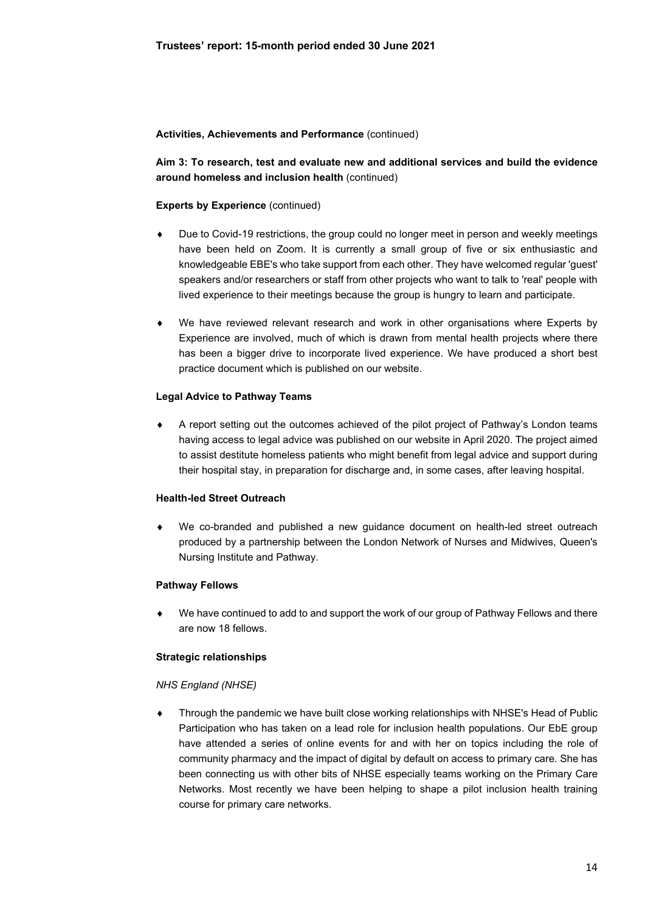**Aim 3: To research, test and evaluate new and additional services and build the evidence around homeless and inclusion health** (continued)

### **Experts by Experience** (continued)

- Due to Covid-19 restrictions, the group could no longer meet in person and weekly meetings have been held on Zoom. It is currently a small group of five or six enthusiastic and knowledgeable EBE's who take support from each other. They have welcomed regular 'guest' speakers and/or researchers or staff from other projects who want to talk to 'real' people with lived experience to their meetings because the group is hungry to learn and participate.
- We have reviewed relevant research and work in other organisations where Experts by Experience are involved, much of which is drawn from mental health projects where there has been a bigger drive to incorporate lived experience. We have produced a short best practice document which is published on our website.

## **Legal Advice to Pathway Teams**

 A report setting out the outcomes achieved of the pilot project of Pathway's London teams having access to legal advice was published on our website in April 2020. The project aimed to assist destitute homeless patients who might benefit from legal advice and support during their hospital stay, in preparation for discharge and, in some cases, after leaving hospital.

### **Health-led Street Outreach**

 We co-branded and published a new guidance document on health-led street outreach produced by a partnership between the London Network of Nurses and Midwives, Queen's Nursing Institute and Pathway.

### **Pathway Fellows**

 We have continued to add to and support the work of our group of Pathway Fellows and there are now 18 fellows.

### **Strategic relationships**

### *NHS England (NHSE)*

 Through the pandemic we have built close working relationships with NHSE's Head of Public Participation who has taken on a lead role for inclusion health populations. Our EbE group have attended a series of online events for and with her on topics including the role of community pharmacy and the impact of digital by default on access to primary care. She has been connecting us with other bits of NHSE especially teams working on the Primary Care Networks. Most recently we have been helping to shape a pilot inclusion health training course for primary care networks.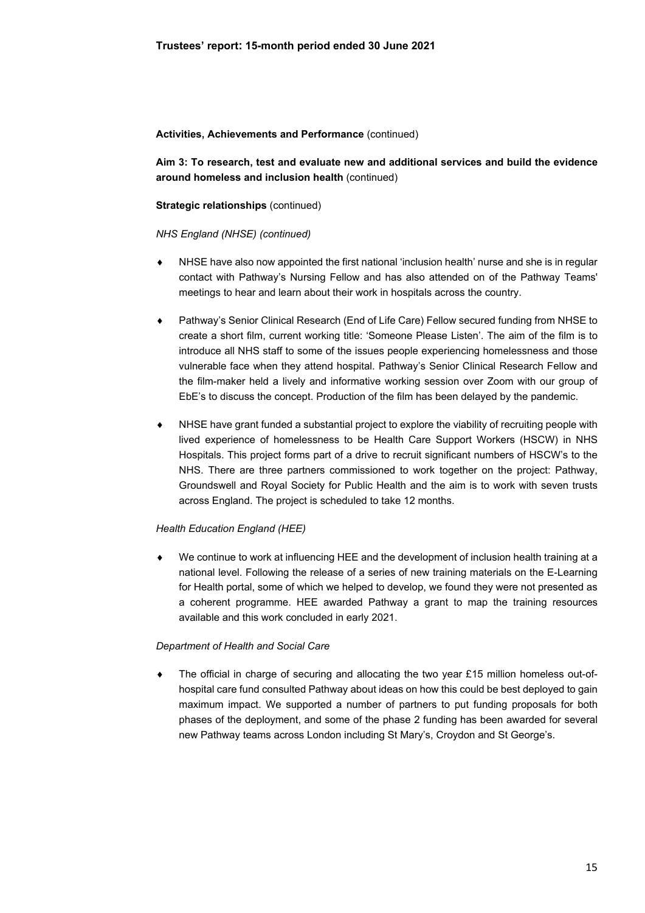**Aim 3: To research, test and evaluate new and additional services and build the evidence around homeless and inclusion health** (continued)

### **Strategic relationships** (continued)

#### *NHS England (NHSE) (continued)*

- NHSE have also now appointed the first national 'inclusion health' nurse and she is in regular contact with Pathway's Nursing Fellow and has also attended on of the Pathway Teams' meetings to hear and learn about their work in hospitals across the country.
- Pathway's Senior Clinical Research (End of Life Care) Fellow secured funding from NHSE to create a short film, current working title: 'Someone Please Listen'. The aim of the film is to introduce all NHS staff to some of the issues people experiencing homelessness and those vulnerable face when they attend hospital. Pathway's Senior Clinical Research Fellow and the film-maker held a lively and informative working session over Zoom with our group of EbE's to discuss the concept. Production of the film has been delayed by the pandemic.
- NHSE have grant funded a substantial project to explore the viability of recruiting people with lived experience of homelessness to be Health Care Support Workers (HSCW) in NHS Hospitals. This project forms part of a drive to recruit significant numbers of HSCW's to the NHS. There are three partners commissioned to work together on the project: Pathway, Groundswell and Royal Society for Public Health and the aim is to work with seven trusts across England. The project is scheduled to take 12 months.

### *Health Education England (HEE)*

 We continue to work at influencing HEE and the development of inclusion health training at a national level. Following the release of a series of new training materials on the E-Learning for Health portal, some of which we helped to develop, we found they were not presented as a coherent programme. HEE awarded Pathway a grant to map the training resources available and this work concluded in early 2021.

#### *Department of Health and Social Care*

 The official in charge of securing and allocating the two year £15 million homeless out-ofhospital care fund consulted Pathway about ideas on how this could be best deployed to gain maximum impact. We supported a number of partners to put funding proposals for both phases of the deployment, and some of the phase 2 funding has been awarded for several new Pathway teams across London including St Mary's, Croydon and St George's.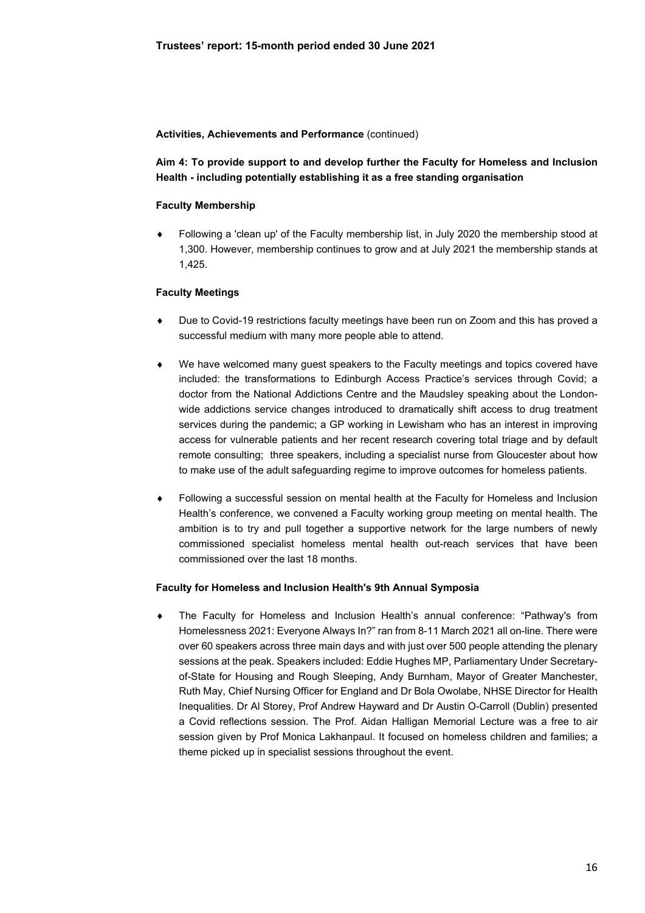# **Aim 4: To provide support to and develop further the Faculty for Homeless and Inclusion Health - including potentially establishing it as a free standing organisation**

# **Faculty Membership**

 Following a 'clean up' of the Faculty membership list, in July 2020 the membership stood at 1,300. However, membership continues to grow and at July 2021 the membership stands at 1,425.

## **Faculty Meetings**

- Due to Covid-19 restrictions faculty meetings have been run on Zoom and this has proved a successful medium with many more people able to attend.
- We have welcomed many guest speakers to the Faculty meetings and topics covered have included: the transformations to Edinburgh Access Practice's services through Covid; a doctor from the National Addictions Centre and the Maudsley speaking about the Londonwide addictions service changes introduced to dramatically shift access to drug treatment services during the pandemic; a GP working in Lewisham who has an interest in improving access for vulnerable patients and her recent research covering total triage and by default remote consulting; three speakers, including a specialist nurse from Gloucester about how to make use of the adult safeguarding regime to improve outcomes for homeless patients.
- Following a successful session on mental health at the Faculty for Homeless and Inclusion Health's conference, we convened a Faculty working group meeting on mental health. The ambition is to try and pull together a supportive network for the large numbers of newly commissioned specialist homeless mental health out-reach services that have been commissioned over the last 18 months.

### **Faculty for Homeless and Inclusion Health's 9th Annual Symposia**

 The Faculty for Homeless and Inclusion Health's annual conference: "Pathway's from Homelessness 2021: Everyone Always In?" ran from 8-11 March 2021 all on-line. There were over 60 speakers across three main days and with just over 500 people attending the plenary sessions at the peak. Speakers included: Eddie Hughes MP, Parliamentary Under Secretaryof-State for Housing and Rough Sleeping, Andy Burnham, Mayor of Greater Manchester, Ruth May, Chief Nursing Officer for England and Dr Bola Owolabe, NHSE Director for Health Inequalities. Dr Al Storey, Prof Andrew Hayward and Dr Austin O-Carroll (Dublin) presented a Covid reflections session. The Prof. Aidan Halligan Memorial Lecture was a free to air session given by Prof Monica Lakhanpaul. It focused on homeless children and families; a theme picked up in specialist sessions throughout the event.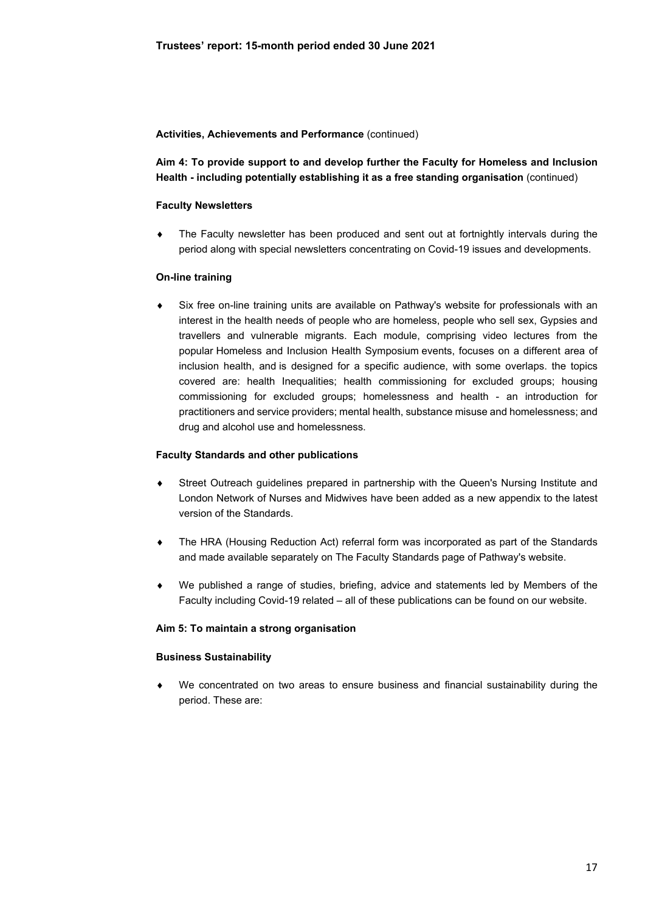**Aim 4: To provide support to and develop further the Faculty for Homeless and Inclusion Health - including potentially establishing it as a free standing organisation** (continued)

## **Faculty Newsletters**

 The Faculty newsletter has been produced and sent out at fortnightly intervals during the period along with special newsletters concentrating on Covid-19 issues and developments.

## **On-line training**

 Six free on-line training units are available on Pathway's website for professionals with an interest in the health needs of people who are homeless, people who sell sex, Gypsies and travellers and vulnerable migrants. Each module, comprising video lectures from the popular Homeless and Inclusion Health Symposium events, focuses on a different area of inclusion health, and is designed for a specific audience, with some overlaps. the topics covered are: health Inequalities; health commissioning for excluded groups; housing commissioning for excluded groups; homelessness and health - an introduction for practitioners and service providers; mental health, substance misuse and homelessness; and drug and alcohol use and homelessness.

# **Faculty Standards and other publications**

- Street Outreach guidelines prepared in partnership with the Queen's Nursing Institute and London Network of Nurses and Midwives have been added as a new appendix to the latest version of the Standards.
- The HRA (Housing Reduction Act) referral form was incorporated as part of the Standards and made available separately on The Faculty Standards page of Pathway's website.
- We published a range of studies, briefing, advice and statements led by Members of the Faculty including Covid-19 related – all of these publications can be found on our website.

### **Aim 5: To maintain a strong organisation**

### **Business Sustainability**

 We concentrated on two areas to ensure business and financial sustainability during the period. These are: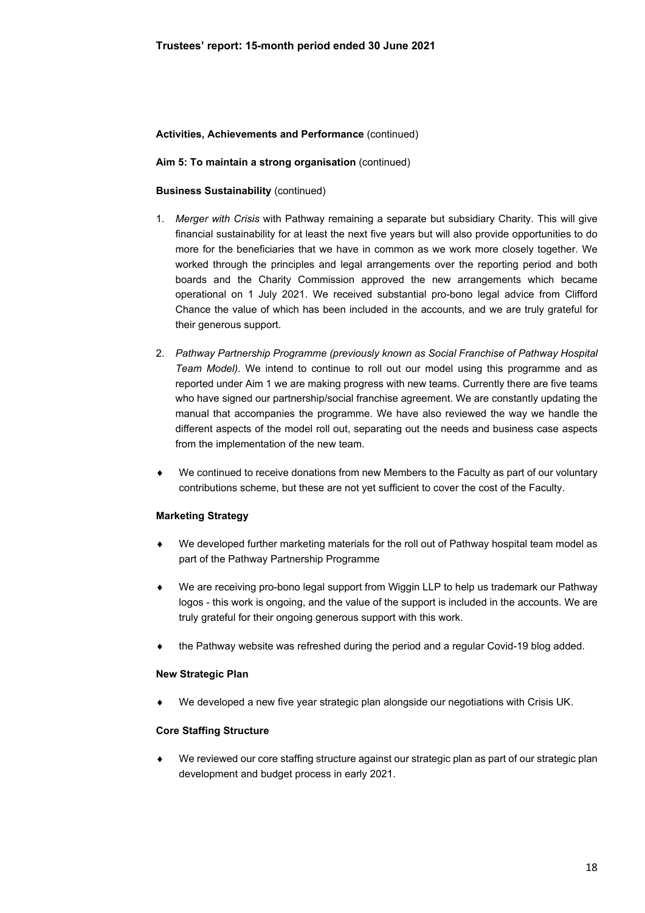### **Aim 5: To maintain a strong organisation** (continued)

### **Business Sustainability** (continued)

- 1. *Merger with Crisis* with Pathway remaining a separate but subsidiary Charity. This will give financial sustainability for at least the next five years but will also provide opportunities to do more for the beneficiaries that we have in common as we work more closely together. We worked through the principles and legal arrangements over the reporting period and both boards and the Charity Commission approved the new arrangements which became operational on 1 July 2021. We received substantial pro-bono legal advice from Clifford Chance the value of which has been included in the accounts, and we are truly grateful for their generous support.
- 2. *Pathway Partnership Programme (previously known as Social Franchise of Pathway Hospital Team Model).* We intend to continue to roll out our model using this programme and as reported under Aim 1 we are making progress with new teams. Currently there are five teams who have signed our partnership/social franchise agreement. We are constantly updating the manual that accompanies the programme. We have also reviewed the way we handle the different aspects of the model roll out, separating out the needs and business case aspects from the implementation of the new team.
- We continued to receive donations from new Members to the Faculty as part of our voluntary contributions scheme, but these are not yet sufficient to cover the cost of the Faculty.

### **Marketing Strategy**

- We developed further marketing materials for the roll out of Pathway hospital team model as part of the Pathway Partnership Programme
- We are receiving pro-bono legal support from Wiggin LLP to help us trademark our Pathway logos - this work is ongoing, and the value of the support is included in the accounts. We are truly grateful for their ongoing generous support with this work.
- the Pathway website was refreshed during the period and a regular Covid-19 blog added.

### **New Strategic Plan**

We developed a new five year strategic plan alongside our negotiations with Crisis UK.

# **Core Staffing Structure**

 We reviewed our core staffing structure against our strategic plan as part of our strategic plan development and budget process in early 2021.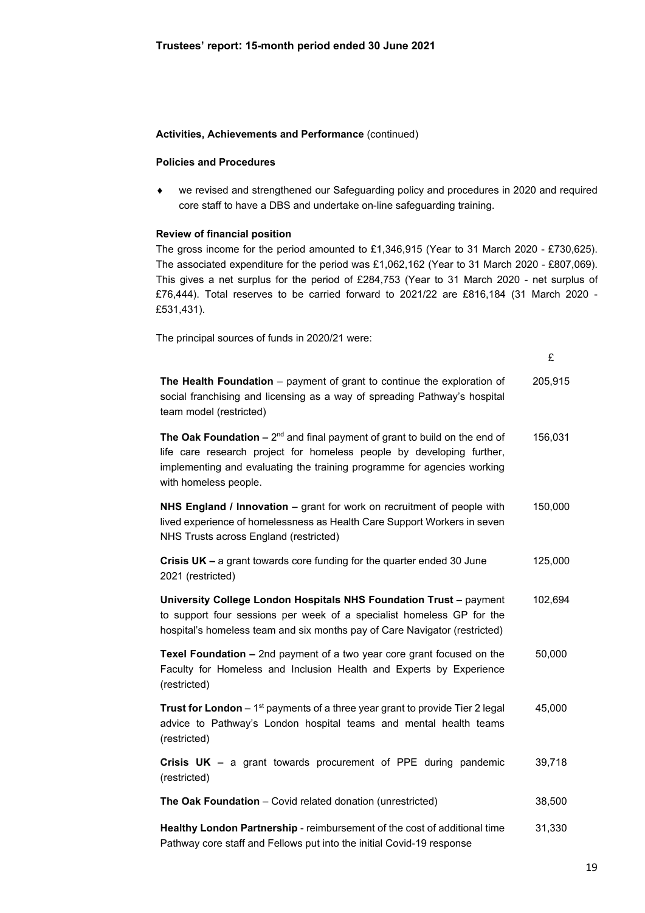#### **Policies and Procedures**

 we revised and strengthened our Safeguarding policy and procedures in 2020 and required core staff to have a DBS and undertake on-line safeguarding training.

#### **Review of financial position**

The gross income for the period amounted to £1,346,915 (Year to 31 March 2020 - £730,625). The associated expenditure for the period was £1,062,162 (Year to 31 March 2020 - £807,069). This gives a net surplus for the period of £284,753 (Year to 31 March 2020 - net surplus of £76,444). Total reserves to be carried forward to 2021/22 are £816,184 (31 March 2020 - £531,431).

The principal sources of funds in 2020/21 were:

 £ **The Health Foundation** – payment of grant to continue the exploration of social franchising and licensing as a way of spreading Pathway's hospital team model (restricted) 205,915 **The Oak Foundation –**  $2^{nd}$  and final payment of grant to build on the end of life care research project for homeless people by developing further, implementing and evaluating the training programme for agencies working with homeless people. 156,031 **NHS England / Innovation –** grant for work on recruitment of people with lived experience of homelessness as Health Care Support Workers in seven NHS Trusts across England (restricted) 150,000 **Crisis UK –** a grant towards core funding for the quarter ended 30 June 2021 (restricted) 125,000 **University College London Hospitals NHS Foundation Trust** – payment to support four sessions per week of a specialist homeless GP for the hospital's homeless team and six months pay of Care Navigator (restricted) 102,694 **Texel Foundation –** 2nd payment of a two year core grant focused on the Faculty for Homeless and Inclusion Health and Experts by Experience (restricted) 50,000 **Trust for London** – 1<sup>st</sup> payments of a three year grant to provide Tier 2 legal advice to Pathway's London hospital teams and mental health teams (restricted) 45,000 **Crisis UK –** a grant towards procurement of PPE during pandemic (restricted) 39,718 **The Oak Foundation** – Covid related donation (unrestricted) 38,500 **Healthy London Partnership** - reimbursement of the cost of additional time Pathway core staff and Fellows put into the initial Covid-19 response 31,330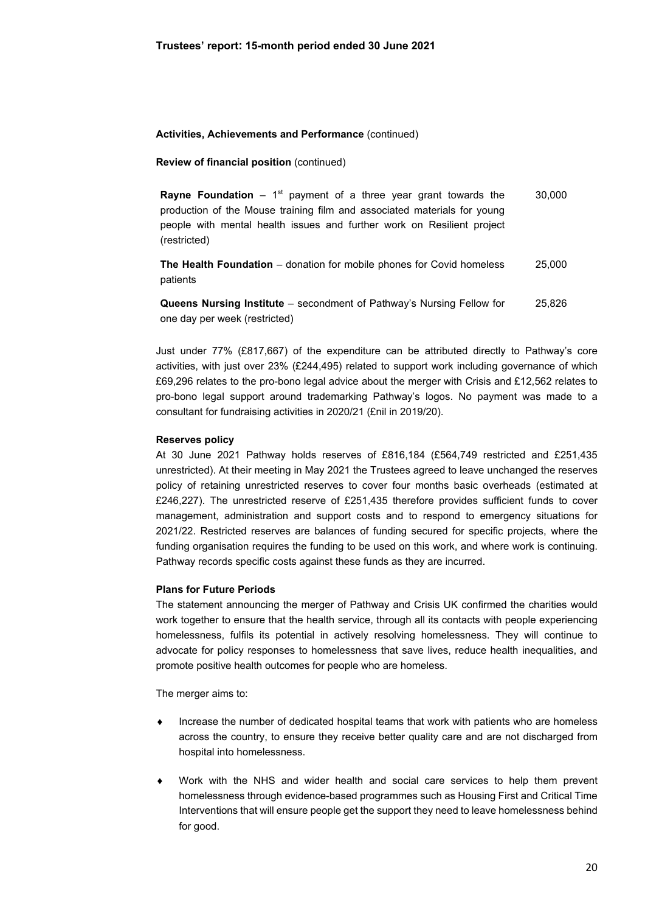### **Review of financial position** (continued)

**Rayne Foundation**  $-1$ <sup>st</sup> payment of a three year grant towards the production of the Mouse training film and associated materials for young people with mental health issues and further work on Resilient project (restricted) 30,000

**The Health Foundation** – donation for mobile phones for Covid homeless patients 25,000

**Queens Nursing Institute** – secondment of Pathway's Nursing Fellow for one day per week (restricted) 25,826

Just under 77% (£817,667) of the expenditure can be attributed directly to Pathway's core activities, with just over 23% (£244,495) related to support work including governance of which £69,296 relates to the pro-bono legal advice about the merger with Crisis and £12,562 relates to pro-bono legal support around trademarking Pathway's logos. No payment was made to a consultant for fundraising activities in 2020/21 (£nil in 2019/20).

#### **Reserves policy**

At 30 June 2021 Pathway holds reserves of £816,184 (£564,749 restricted and £251,435 unrestricted). At their meeting in May 2021 the Trustees agreed to leave unchanged the reserves policy of retaining unrestricted reserves to cover four months basic overheads (estimated at £246,227). The unrestricted reserve of £251,435 therefore provides sufficient funds to cover management, administration and support costs and to respond to emergency situations for 2021/22. Restricted reserves are balances of funding secured for specific projects, where the funding organisation requires the funding to be used on this work, and where work is continuing. Pathway records specific costs against these funds as they are incurred.

#### **Plans for Future Periods**

The statement announcing the merger of Pathway and Crisis UK confirmed the charities would work together to ensure that the health service, through all its contacts with people experiencing homelessness, fulfils its potential in actively resolving homelessness. They will continue to advocate for policy responses to homelessness that save lives, reduce health inequalities, and promote positive health outcomes for people who are homeless.

The merger aims to:

- Increase the number of dedicated hospital teams that work with patients who are homeless across the country, to ensure they receive better quality care and are not discharged from hospital into homelessness.
- Work with the NHS and wider health and social care services to help them prevent homelessness through evidence-based programmes such as Housing First and Critical Time Interventions that will ensure people get the support they need to leave homelessness behind for good.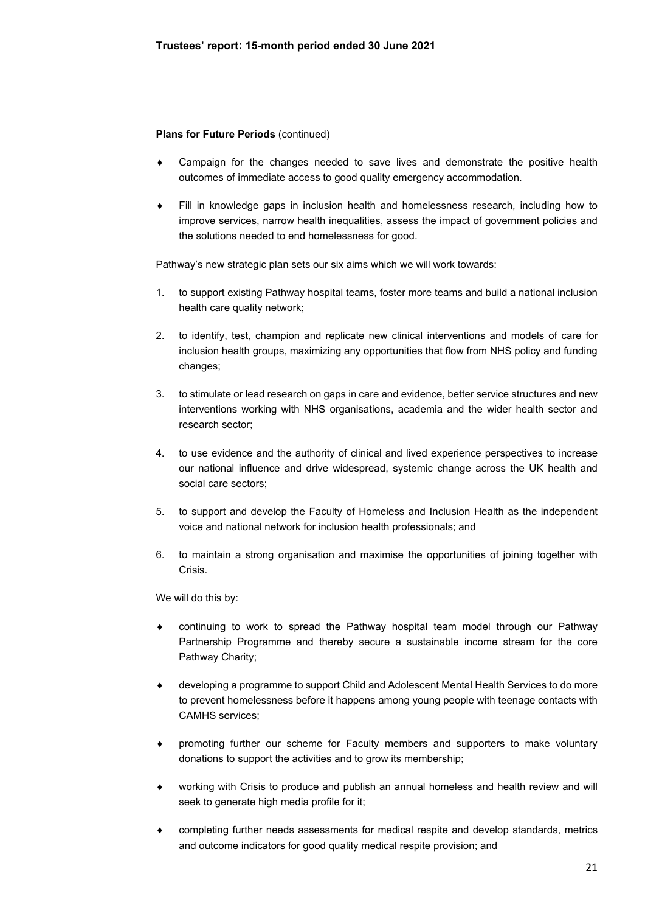# **Plans for Future Periods** (continued)

- Campaign for the changes needed to save lives and demonstrate the positive health outcomes of immediate access to good quality emergency accommodation.
- Fill in knowledge gaps in inclusion health and homelessness research, including how to improve services, narrow health inequalities, assess the impact of government policies and the solutions needed to end homelessness for good.

Pathway's new strategic plan sets our six aims which we will work towards:

- 1. to support existing Pathway hospital teams, foster more teams and build a national inclusion health care quality network;
- 2. to identify, test, champion and replicate new clinical interventions and models of care for inclusion health groups, maximizing any opportunities that flow from NHS policy and funding changes;
- 3. to stimulate or lead research on gaps in care and evidence, better service structures and new interventions working with NHS organisations, academia and the wider health sector and research sector;
- 4. to use evidence and the authority of clinical and lived experience perspectives to increase our national influence and drive widespread, systemic change across the UK health and social care sectors;
- 5. to support and develop the Faculty of Homeless and Inclusion Health as the independent voice and national network for inclusion health professionals; and
- 6. to maintain a strong organisation and maximise the opportunities of joining together with Crisis.

We will do this by:

- continuing to work to spread the Pathway hospital team model through our Pathway Partnership Programme and thereby secure a sustainable income stream for the core Pathway Charity;
- developing a programme to support Child and Adolescent Mental Health Services to do more to prevent homelessness before it happens among young people with teenage contacts with CAMHS services;
- promoting further our scheme for Faculty members and supporters to make voluntary donations to support the activities and to grow its membership;
- working with Crisis to produce and publish an annual homeless and health review and will seek to generate high media profile for it;
- completing further needs assessments for medical respite and develop standards, metrics and outcome indicators for good quality medical respite provision; and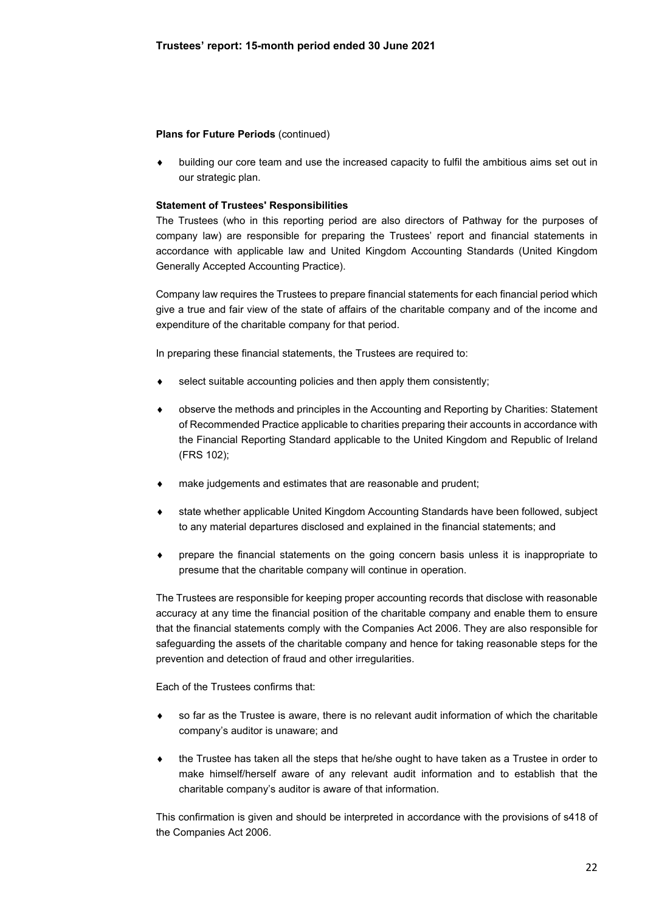### **Plans for Future Periods (continued)**

 building our core team and use the increased capacity to fulfil the ambitious aims set out in our strategic plan.

### **Statement of Trustees' Responsibilities**

The Trustees (who in this reporting period are also directors of Pathway for the purposes of company law) are responsible for preparing the Trustees' report and financial statements in accordance with applicable law and United Kingdom Accounting Standards (United Kingdom Generally Accepted Accounting Practice).

Company law requires the Trustees to prepare financial statements for each financial period which give a true and fair view of the state of affairs of the charitable company and of the income and expenditure of the charitable company for that period.

In preparing these financial statements, the Trustees are required to:

- select suitable accounting policies and then apply them consistently;
- observe the methods and principles in the Accounting and Reporting by Charities: Statement of Recommended Practice applicable to charities preparing their accounts in accordance with the Financial Reporting Standard applicable to the United Kingdom and Republic of Ireland (FRS 102);
- make judgements and estimates that are reasonable and prudent;
- state whether applicable United Kingdom Accounting Standards have been followed, subject to any material departures disclosed and explained in the financial statements; and
- prepare the financial statements on the going concern basis unless it is inappropriate to presume that the charitable company will continue in operation.

The Trustees are responsible for keeping proper accounting records that disclose with reasonable accuracy at any time the financial position of the charitable company and enable them to ensure that the financial statements comply with the Companies Act 2006. They are also responsible for safeguarding the assets of the charitable company and hence for taking reasonable steps for the prevention and detection of fraud and other irregularities.

Each of the Trustees confirms that:

- so far as the Trustee is aware, there is no relevant audit information of which the charitable company's auditor is unaware; and
- the Trustee has taken all the steps that he/she ought to have taken as a Trustee in order to make himself/herself aware of any relevant audit information and to establish that the charitable company's auditor is aware of that information.

This confirmation is given and should be interpreted in accordance with the provisions of s418 of the Companies Act 2006.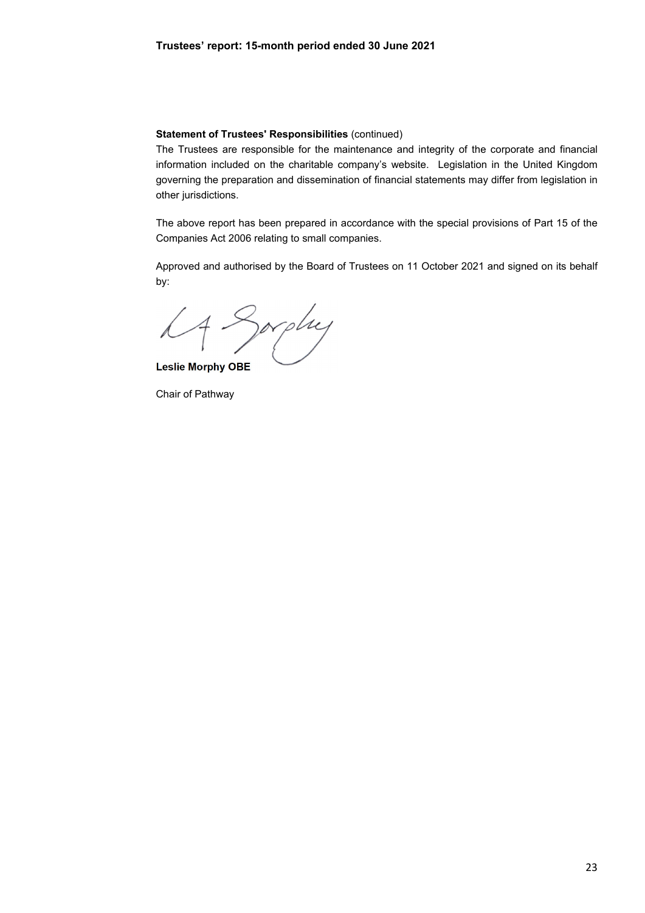#### **Statement of Trustees' Responsibilities** (continued)

The Trustees are responsible for the maintenance and integrity of the corporate and financial information included on the charitable company's website. Legislation in the United Kingdom governing the preparation and dissemination of financial statements may differ from legislation in other jurisdictions.

The above report has been prepared in accordance with the special provisions of Part 15 of the Companies Act 2006 relating to small companies.

Approved and authorised by the Board of Trustees on 11 October 2021 and signed on its behalf by:

Sorphy

**Leslie Morphy OBE** 

Chair of Pathway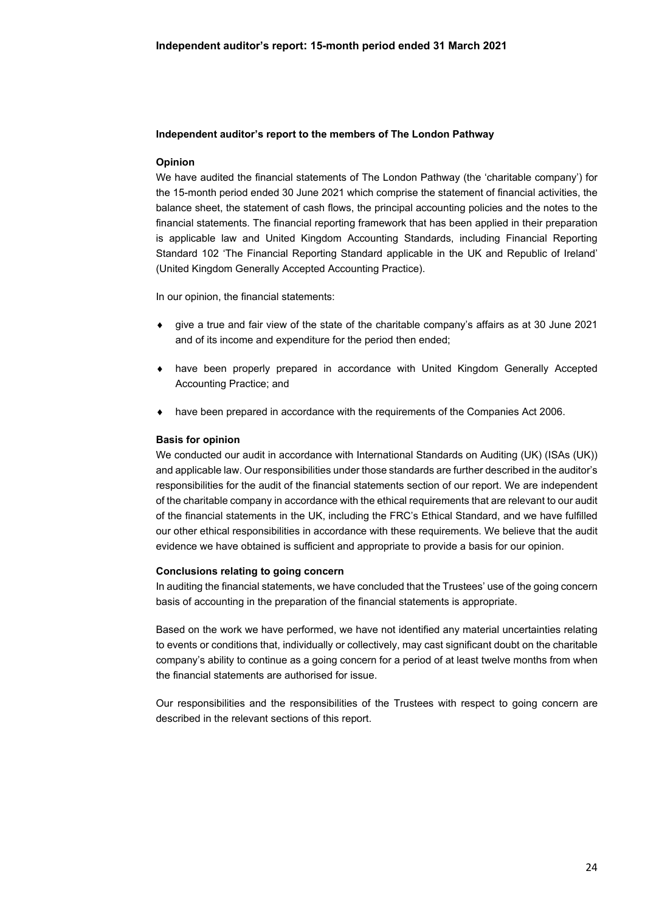### **Independent auditor's report to the members of The London Pathway**

## **Opinion**

We have audited the financial statements of The London Pathway (the 'charitable company') for the 15-month period ended 30 June 2021 which comprise the statement of financial activities, the balance sheet, the statement of cash flows, the principal accounting policies and the notes to the financial statements. The financial reporting framework that has been applied in their preparation is applicable law and United Kingdom Accounting Standards, including Financial Reporting Standard 102 'The Financial Reporting Standard applicable in the UK and Republic of Ireland' (United Kingdom Generally Accepted Accounting Practice).

In our opinion, the financial statements:

- give a true and fair view of the state of the charitable company's affairs as at 30 June 2021 and of its income and expenditure for the period then ended;
- have been properly prepared in accordance with United Kingdom Generally Accepted Accounting Practice; and
- have been prepared in accordance with the requirements of the Companies Act 2006.

### **Basis for opinion**

We conducted our audit in accordance with International Standards on Auditing (UK) (ISAs (UK)) and applicable law. Our responsibilities under those standards are further described in the auditor's responsibilities for the audit of the financial statements section of our report. We are independent of the charitable company in accordance with the ethical requirements that are relevant to our audit of the financial statements in the UK, including the FRC's Ethical Standard, and we have fulfilled our other ethical responsibilities in accordance with these requirements. We believe that the audit evidence we have obtained is sufficient and appropriate to provide a basis for our opinion.

### **Conclusions relating to going concern**

In auditing the financial statements, we have concluded that the Trustees' use of the going concern basis of accounting in the preparation of the financial statements is appropriate.

Based on the work we have performed, we have not identified any material uncertainties relating to events or conditions that, individually or collectively, may cast significant doubt on the charitable company's ability to continue as a going concern for a period of at least twelve months from when the financial statements are authorised for issue.

Our responsibilities and the responsibilities of the Trustees with respect to going concern are described in the relevant sections of this report.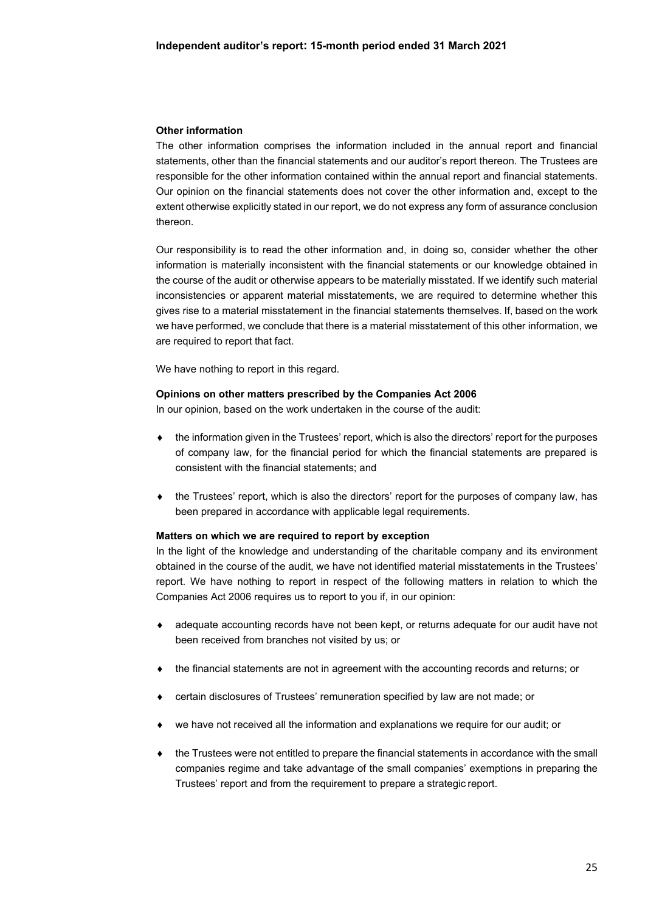### **Other information**

The other information comprises the information included in the annual report and financial statements, other than the financial statements and our auditor's report thereon. The Trustees are responsible for the other information contained within the annual report and financial statements. Our opinion on the financial statements does not cover the other information and, except to the extent otherwise explicitly stated in our report, we do not express any form of assurance conclusion thereon.

Our responsibility is to read the other information and, in doing so, consider whether the other information is materially inconsistent with the financial statements or our knowledge obtained in the course of the audit or otherwise appears to be materially misstated. If we identify such material inconsistencies or apparent material misstatements, we are required to determine whether this gives rise to a material misstatement in the financial statements themselves. If, based on the work we have performed, we conclude that there is a material misstatement of this other information, we are required to report that fact.

We have nothing to report in this regard.

#### **Opinions on other matters prescribed by the Companies Act 2006**

In our opinion, based on the work undertaken in the course of the audit:

- $\bullet$  the information given in the Trustees' report, which is also the directors' report for the purposes of company law, for the financial period for which the financial statements are prepared is consistent with the financial statements; and
- $\bullet$  the Trustees' report, which is also the directors' report for the purposes of company law, has been prepared in accordance with applicable legal requirements.

#### **Matters on which we are required to report by exception**

In the light of the knowledge and understanding of the charitable company and its environment obtained in the course of the audit, we have not identified material misstatements in the Trustees' report. We have nothing to report in respect of the following matters in relation to which the Companies Act 2006 requires us to report to you if, in our opinion:

- adequate accounting records have not been kept, or returns adequate for our audit have not been received from branches not visited by us; or
- the financial statements are not in agreement with the accounting records and returns; or
- certain disclosures of Trustees' remuneration specified by law are not made; or
- we have not received all the information and explanations we require for our audit; or
- the Trustees were not entitled to prepare the financial statements in accordance with the small companies regime and take advantage of the small companies' exemptions in preparing the Trustees' report and from the requirement to prepare a strategic report.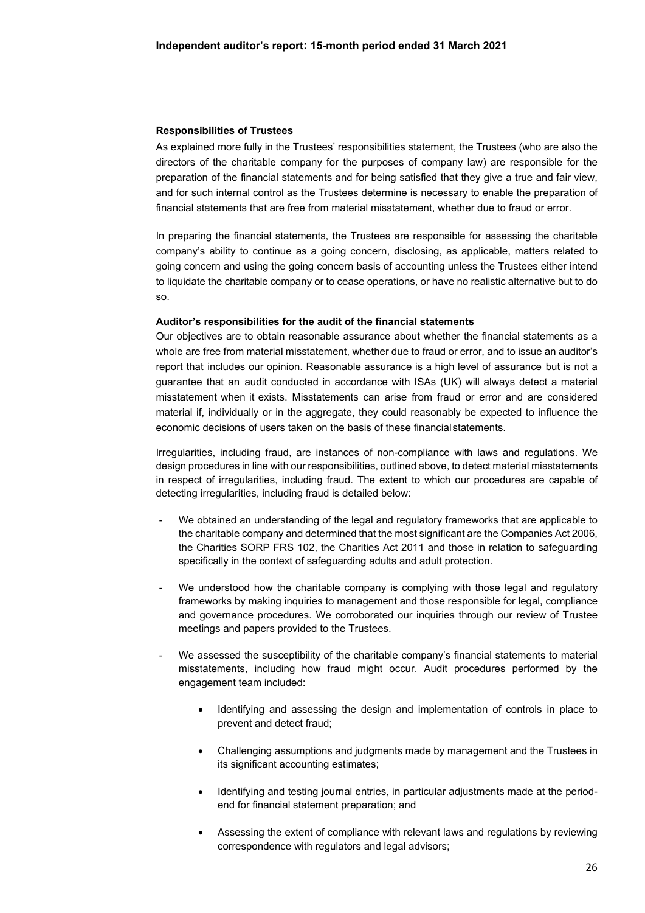#### **Responsibilities of Trustees**

As explained more fully in the Trustees' responsibilities statement, the Trustees (who are also the directors of the charitable company for the purposes of company law) are responsible for the preparation of the financial statements and for being satisfied that they give a true and fair view, and for such internal control as the Trustees determine is necessary to enable the preparation of financial statements that are free from material misstatement, whether due to fraud or error.

In preparing the financial statements, the Trustees are responsible for assessing the charitable company's ability to continue as a going concern, disclosing, as applicable, matters related to going concern and using the going concern basis of accounting unless the Trustees either intend to liquidate the charitable company or to cease operations, or have no realistic alternative but to do so.

#### **Auditor's responsibilities for the audit of the financial statements**

Our objectives are to obtain reasonable assurance about whether the financial statements as a whole are free from material misstatement, whether due to fraud or error, and to issue an auditor's report that includes our opinion. Reasonable assurance is a high level of assurance but is not a guarantee that an audit conducted in accordance with ISAs (UK) will always detect a material misstatement when it exists. Misstatements can arise from fraud or error and are considered material if, individually or in the aggregate, they could reasonably be expected to influence the economic decisions of users taken on the basis of these financial statements.

Irregularities, including fraud, are instances of non-compliance with laws and regulations. We design procedures in line with our responsibilities, outlined above, to detect material misstatements in respect of irregularities, including fraud. The extent to which our procedures are capable of detecting irregularities, including fraud is detailed below:

- We obtained an understanding of the legal and regulatory frameworks that are applicable to the charitable company and determined that the most significant are the Companies Act 2006, the Charities SORP FRS 102, the Charities Act 2011 and those in relation to safeguarding specifically in the context of safeguarding adults and adult protection.
- We understood how the charitable company is complying with those legal and regulatory frameworks by making inquiries to management and those responsible for legal, compliance and governance procedures. We corroborated our inquiries through our review of Trustee meetings and papers provided to the Trustees.
- We assessed the susceptibility of the charitable company's financial statements to material misstatements, including how fraud might occur. Audit procedures performed by the engagement team included:
	- Identifying and assessing the design and implementation of controls in place to prevent and detect fraud;
	- Challenging assumptions and judgments made by management and the Trustees in its significant accounting estimates;
	- Identifying and testing journal entries, in particular adjustments made at the periodend for financial statement preparation; and
	- Assessing the extent of compliance with relevant laws and regulations by reviewing correspondence with regulators and legal advisors;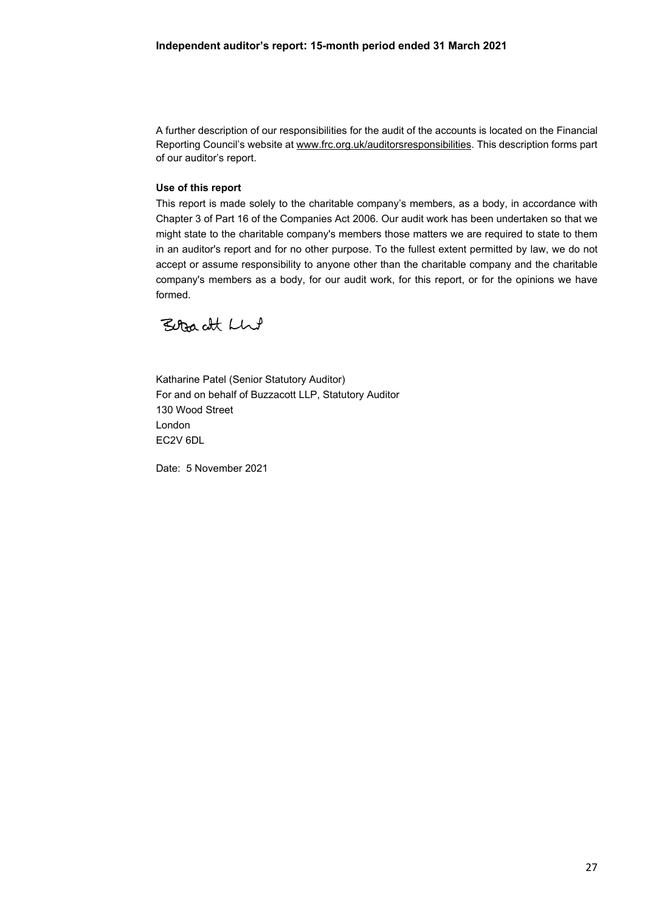A further description of our responsibilities for the audit of the accounts is located on the Financial Reporting Council's website at www.frc.org.uk/auditorsresponsibilities. This description forms part of our auditor's report.

## **Use of this report**

This report is made solely to the charitable company's members, as a body, in accordance with Chapter 3 of Part 16 of the Companies Act 2006. Our audit work has been undertaken so that we might state to the charitable company's members those matters we are required to state to them in an auditor's report and for no other purpose. To the fullest extent permitted by law, we do not accept or assume responsibility to anyone other than the charitable company and the charitable company's members as a body, for our audit work, for this report, or for the opinions we have formed.

Beracht Llut

Katharine Patel (Senior Statutory Auditor) For and on behalf of Buzzacott LLP, Statutory Auditor 130 Wood Street London EC2V 6DL

Date: 5 November 2021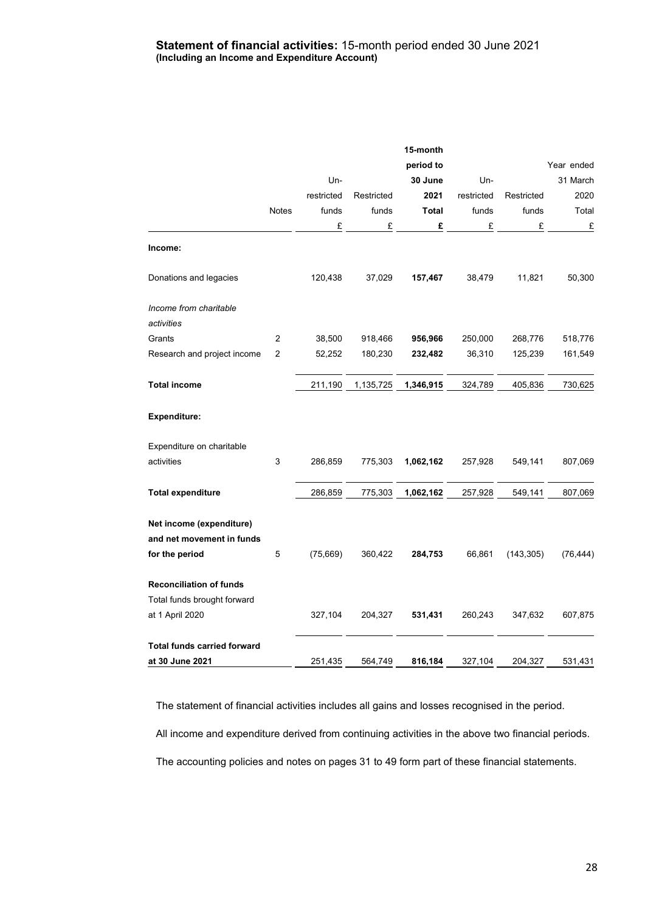### **Statement of financial activities:** 15-month period ended 30 June 2021 **(Including an Income and Expenditure Account)**

|                                    |                |            |            | 15-month  |            |            |            |
|------------------------------------|----------------|------------|------------|-----------|------------|------------|------------|
|                                    |                |            |            | period to |            |            | Year ended |
|                                    |                | Un-        |            | 30 June   | Un-        |            | 31 March   |
|                                    |                | restricted | Restricted | 2021      | restricted | Restricted | 2020       |
|                                    | Notes          | funds      | funds      | Total     | funds      | funds      | Total      |
|                                    |                | £          | £          | £         | £          | £          | E          |
| Income:                            |                |            |            |           |            |            |            |
| Donations and legacies             |                | 120,438    | 37,029     | 157,467   | 38,479     | 11,821     | 50,300     |
| Income from charitable             |                |            |            |           |            |            |            |
| activities                         |                |            |            |           |            |            |            |
| Grants                             | 2              | 38,500     | 918,466    | 956,966   | 250,000    | 268,776    | 518,776    |
| Research and project income        | $\overline{2}$ | 52,252     | 180,230    | 232,482   | 36,310     | 125,239    | 161,549    |
| <b>Total income</b>                |                | 211,190    | 1,135,725  | 1,346,915 | 324,789    | 405,836    | 730,625    |
| <b>Expenditure:</b>                |                |            |            |           |            |            |            |
| Expenditure on charitable          |                |            |            |           |            |            |            |
| activities                         | 3              | 286,859    | 775,303    | 1,062,162 | 257,928    | 549,141    | 807,069    |
| <b>Total expenditure</b>           |                | 286,859    | 775,303    | 1,062,162 | 257,928    | 549,141    | 807,069    |
| Net income (expenditure)           |                |            |            |           |            |            |            |
| and net movement in funds          |                |            |            |           |            |            |            |
| for the period                     | 5              | (75,669)   | 360,422    | 284,753   | 66,861     | (143, 305) | (76, 444)  |
| <b>Reconciliation of funds</b>     |                |            |            |           |            |            |            |
| Total funds brought forward        |                |            |            |           |            |            |            |
| at 1 April 2020                    |                | 327,104    | 204,327    | 531,431   | 260,243    | 347,632    | 607,875    |
| <b>Total funds carried forward</b> |                |            |            |           |            |            |            |
| at 30 June 2021                    |                | 251,435    | 564,749    | 816,184   | 327,104    | 204,327    | 531,431    |

The statement of financial activities includes all gains and losses recognised in the period.

All income and expenditure derived from continuing activities in the above two financial periods.

The accounting policies and notes on pages 31 to 49 form part of these financial statements.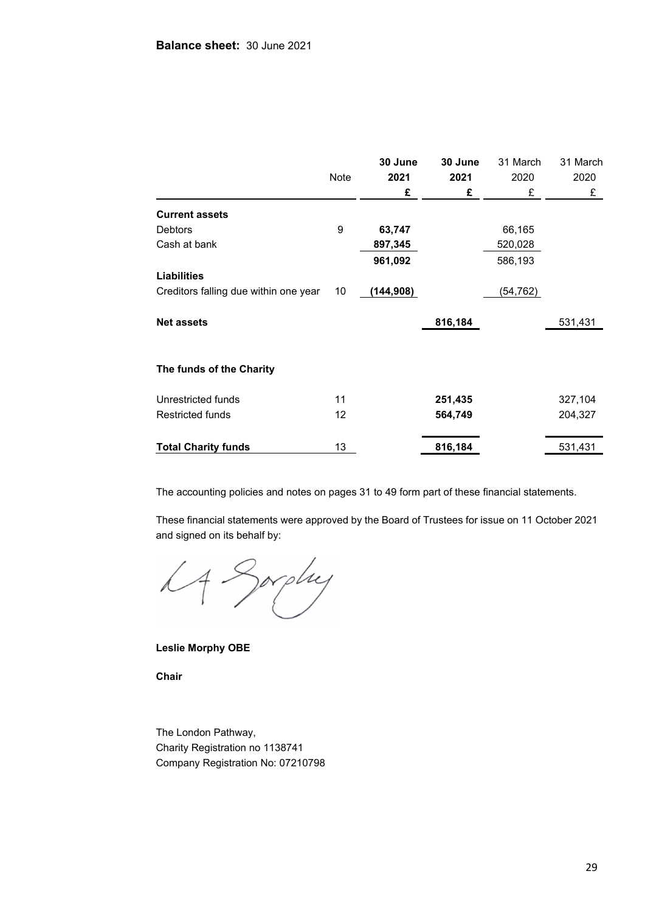|                                       |      | 30 June   | 30 June | 31 March  | 31 March |
|---------------------------------------|------|-----------|---------|-----------|----------|
|                                       | Note | 2021      | 2021    | 2020      | 2020     |
|                                       |      | £         | £       | £         | £        |
| <b>Current assets</b>                 |      |           |         |           |          |
| <b>Debtors</b>                        | 9    | 63,747    |         | 66,165    |          |
| Cash at bank                          |      | 897,345   |         | 520,028   |          |
|                                       |      | 961,092   |         | 586,193   |          |
| <b>Liabilities</b>                    |      |           |         |           |          |
| Creditors falling due within one year | 10   | (144,908) |         | (54, 762) |          |
| <b>Net assets</b>                     |      |           | 816,184 |           | 531,431  |
| The funds of the Charity              |      |           |         |           |          |
| Unrestricted funds                    | 11   |           | 251,435 |           | 327,104  |
| <b>Restricted funds</b>               | 12   |           | 564,749 |           | 204,327  |
| <b>Total Charity funds</b>            | 13   |           | 816,184 |           | 531,431  |

The accounting policies and notes on pages 31 to 49 form part of these financial statements.

These financial statements were approved by the Board of Trustees for issue on 11 October 2021 and signed on its behalf by:

LA Sorphy

**Leslie Morphy OBE** 

**Chair** 

The London Pathway, Charity Registration no 1138741 Company Registration No: 07210798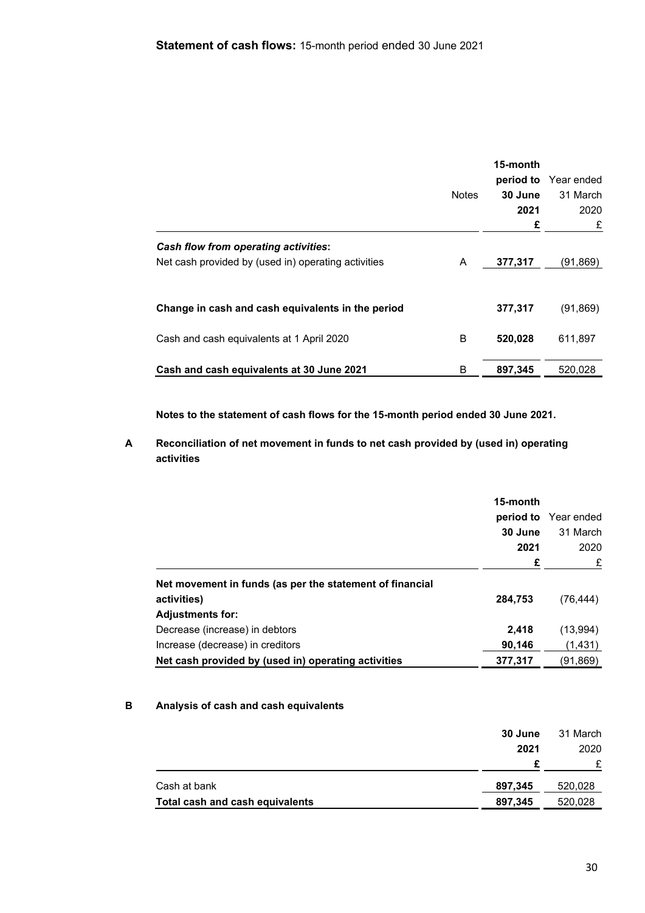|                                                                                                    | <b>Notes</b> | 15-month<br>30 June<br>2021<br>£ | <b>period to</b> Year ended<br>31 March<br>2020<br>£ |
|----------------------------------------------------------------------------------------------------|--------------|----------------------------------|------------------------------------------------------|
| <b>Cash flow from operating activities:</b><br>Net cash provided by (used in) operating activities | A            | 377,317                          | (91,869)                                             |
| Change in cash and cash equivalents in the period                                                  |              | 377,317                          | (91, 869)                                            |
| Cash and cash equivalents at 1 April 2020                                                          | B            | 520,028                          | 611,897                                              |
| Cash and cash equivalents at 30 June 2021                                                          | B            | 897,345                          | 520.028                                              |

**Notes to the statement of cash flows for the 15-month period ended 30 June 2021.** 

**A Reconciliation of net movement in funds to net cash provided by (used in) operating activities** 

|                                                          | 15-month |                       |
|----------------------------------------------------------|----------|-----------------------|
|                                                          |          | period to Year ended  |
|                                                          | 30 June  | 31 March<br>2020<br>£ |
|                                                          | 2021     |                       |
|                                                          | £        |                       |
| Net movement in funds (as per the statement of financial |          |                       |
| activities)                                              | 284,753  | (76, 444)             |
| <b>Adjustments for:</b>                                  |          |                       |
| Decrease (increase) in debtors                           | 2.418    | (13,994)              |
| Increase (decrease) in creditors                         | 90,146   | (1,431)               |
| Net cash provided by (used in) operating activities      | 377,317  | (91,869)              |

# **B Analysis of cash and cash equivalents**

|                                 | 30 June<br>2021 | 31 March<br>2020 |
|---------------------------------|-----------------|------------------|
|                                 |                 |                  |
| Cash at bank                    | 897,345         | 520,028          |
| Total cash and cash equivalents | 897,345         | 520,028          |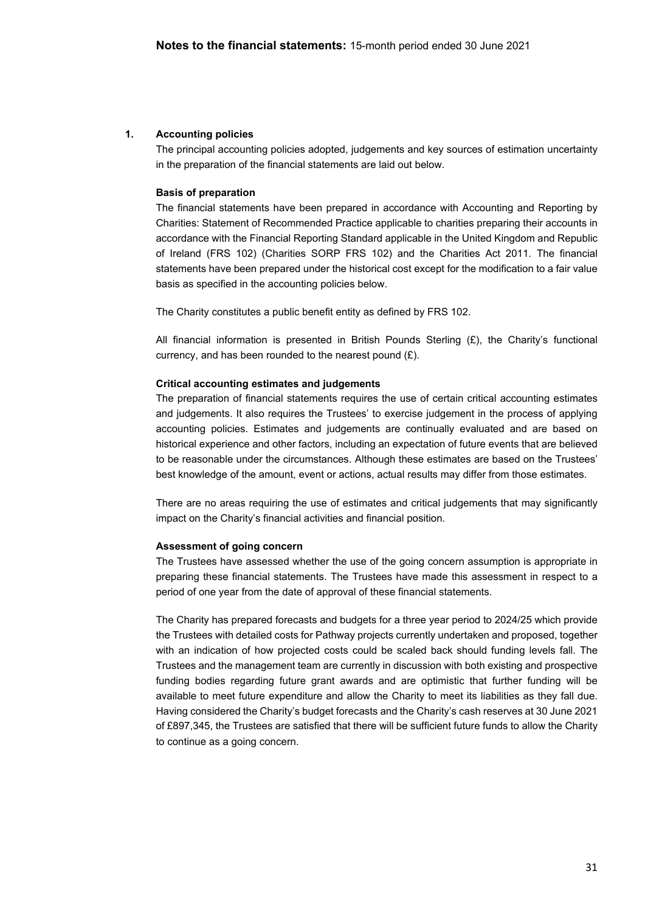### **1. Accounting policies**

The principal accounting policies adopted, judgements and key sources of estimation uncertainty in the preparation of the financial statements are laid out below.

#### **Basis of preparation**

The financial statements have been prepared in accordance with Accounting and Reporting by Charities: Statement of Recommended Practice applicable to charities preparing their accounts in accordance with the Financial Reporting Standard applicable in the United Kingdom and Republic of Ireland (FRS 102) (Charities SORP FRS 102) and the Charities Act 2011. The financial statements have been prepared under the historical cost except for the modification to a fair value basis as specified in the accounting policies below.

The Charity constitutes a public benefit entity as defined by FRS 102.

All financial information is presented in British Pounds Sterling  $(E)$ , the Charity's functional currency, and has been rounded to the nearest pound  $(E)$ .

#### **Critical accounting estimates and judgements**

The preparation of financial statements requires the use of certain critical accounting estimates and judgements. It also requires the Trustees' to exercise judgement in the process of applying accounting policies. Estimates and judgements are continually evaluated and are based on historical experience and other factors, including an expectation of future events that are believed to be reasonable under the circumstances. Although these estimates are based on the Trustees' best knowledge of the amount, event or actions, actual results may differ from those estimates.

There are no areas requiring the use of estimates and critical judgements that may significantly impact on the Charity's financial activities and financial position.

#### **Assessment of going concern**

The Trustees have assessed whether the use of the going concern assumption is appropriate in preparing these financial statements. The Trustees have made this assessment in respect to a period of one year from the date of approval of these financial statements.

The Charity has prepared forecasts and budgets for a three year period to 2024/25 which provide the Trustees with detailed costs for Pathway projects currently undertaken and proposed, together with an indication of how projected costs could be scaled back should funding levels fall. The Trustees and the management team are currently in discussion with both existing and prospective funding bodies regarding future grant awards and are optimistic that further funding will be available to meet future expenditure and allow the Charity to meet its liabilities as they fall due. Having considered the Charity's budget forecasts and the Charity's cash reserves at 30 June 2021 of £897,345, the Trustees are satisfied that there will be sufficient future funds to allow the Charity to continue as a going concern.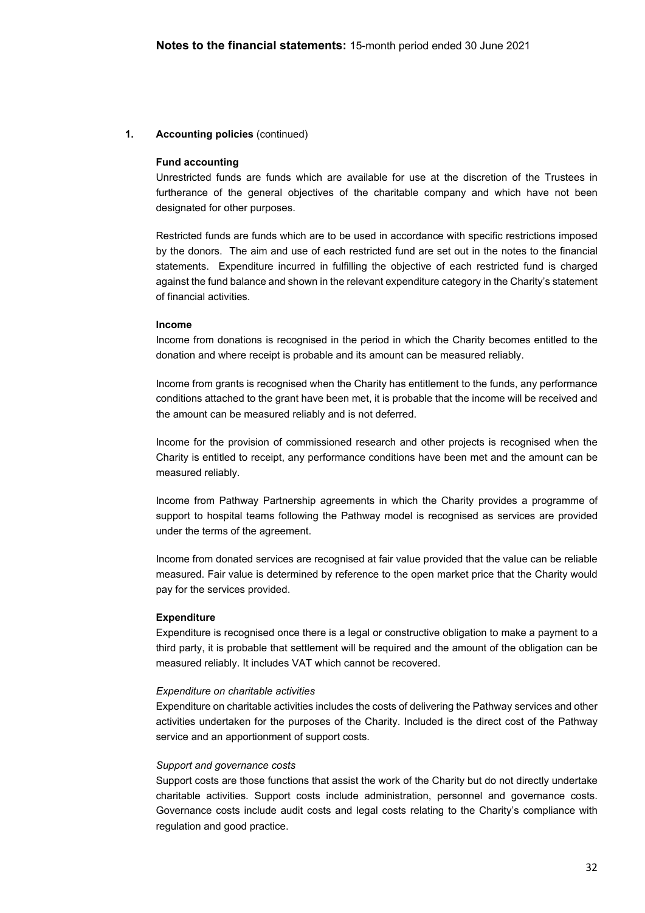### **1. Accounting policies** (continued)

### **Fund accounting**

Unrestricted funds are funds which are available for use at the discretion of the Trustees in furtherance of the general objectives of the charitable company and which have not been designated for other purposes.

Restricted funds are funds which are to be used in accordance with specific restrictions imposed by the donors. The aim and use of each restricted fund are set out in the notes to the financial statements. Expenditure incurred in fulfilling the objective of each restricted fund is charged against the fund balance and shown in the relevant expenditure category in the Charity's statement of financial activities.

#### **Income**

Income from donations is recognised in the period in which the Charity becomes entitled to the donation and where receipt is probable and its amount can be measured reliably.

Income from grants is recognised when the Charity has entitlement to the funds, any performance conditions attached to the grant have been met, it is probable that the income will be received and the amount can be measured reliably and is not deferred.

Income for the provision of commissioned research and other projects is recognised when the Charity is entitled to receipt, any performance conditions have been met and the amount can be measured reliably.

Income from Pathway Partnership agreements in which the Charity provides a programme of support to hospital teams following the Pathway model is recognised as services are provided under the terms of the agreement.

Income from donated services are recognised at fair value provided that the value can be reliable measured. Fair value is determined by reference to the open market price that the Charity would pay for the services provided.

#### **Expenditure**

Expenditure is recognised once there is a legal or constructive obligation to make a payment to a third party, it is probable that settlement will be required and the amount of the obligation can be measured reliably. It includes VAT which cannot be recovered.

#### *Expenditure on charitable activities*

Expenditure on charitable activities includes the costs of delivering the Pathway services and other activities undertaken for the purposes of the Charity. Included is the direct cost of the Pathway service and an apportionment of support costs.

#### *Support and governance costs*

Support costs are those functions that assist the work of the Charity but do not directly undertake charitable activities. Support costs include administration, personnel and governance costs. Governance costs include audit costs and legal costs relating to the Charity's compliance with regulation and good practice.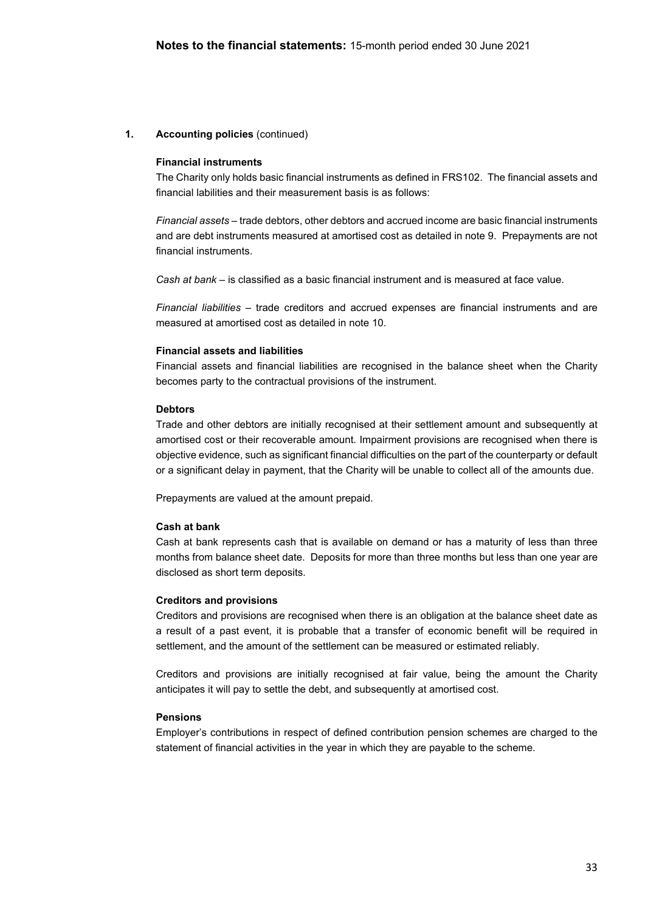### **1. Accounting policies** (continued)

#### **Financial instruments**

The Charity only holds basic financial instruments as defined in FRS102. The financial assets and financial labilities and their measurement basis is as follows:

*Financial assets* – trade debtors, other debtors and accrued income are basic financial instruments and are debt instruments measured at amortised cost as detailed in note 9. Prepayments are not financial instruments.

*Cash at bank* – is classified as a basic financial instrument and is measured at face value.

*Financial liabilities –* trade creditors and accrued expenses are financial instruments and are measured at amortised cost as detailed in note 10.

#### **Financial assets and liabilities**

Financial assets and financial liabilities are recognised in the balance sheet when the Charity becomes party to the contractual provisions of the instrument.

#### **Debtors**

Trade and other debtors are initially recognised at their settlement amount and subsequently at amortised cost or their recoverable amount. Impairment provisions are recognised when there is objective evidence, such as significant financial difficulties on the part of the counterparty or default or a significant delay in payment, that the Charity will be unable to collect all of the amounts due.

Prepayments are valued at the amount prepaid.

#### **Cash at bank**

Cash at bank represents cash that is available on demand or has a maturity of less than three months from balance sheet date. Deposits for more than three months but less than one year are disclosed as short term deposits.

#### **Creditors and provisions**

Creditors and provisions are recognised when there is an obligation at the balance sheet date as a result of a past event, it is probable that a transfer of economic benefit will be required in settlement, and the amount of the settlement can be measured or estimated reliably.

Creditors and provisions are initially recognised at fair value, being the amount the Charity anticipates it will pay to settle the debt, and subsequently at amortised cost.

### **Pensions**

Employer's contributions in respect of defined contribution pension schemes are charged to the statement of financial activities in the year in which they are payable to the scheme.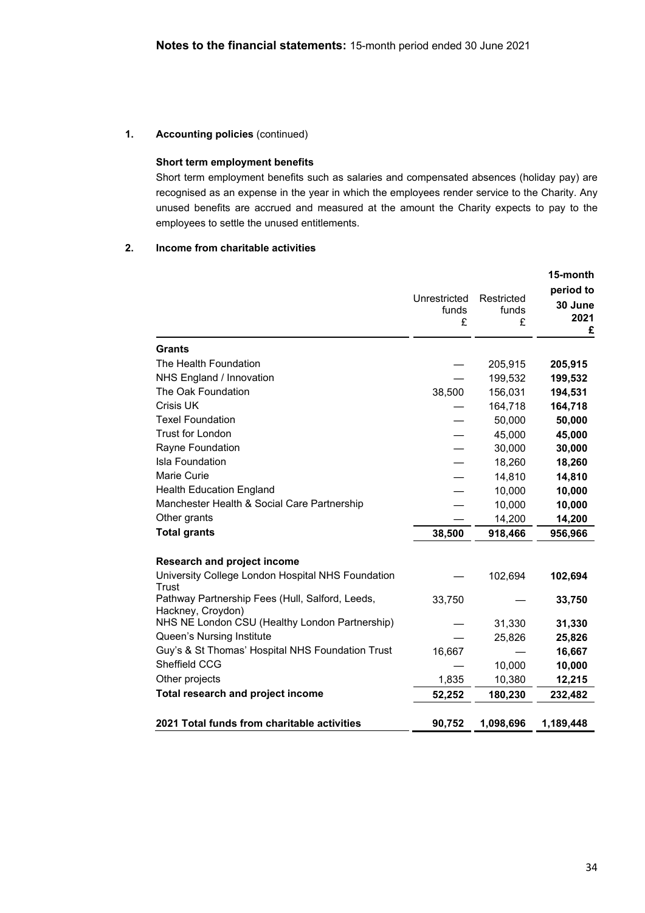# **1. Accounting policies** (continued)

# **Short term employment benefits**

Short term employment benefits such as salaries and compensated absences (holiday pay) are recognised as an expense in the year in which the employees render service to the Charity. Any unused benefits are accrued and measured at the amount the Charity expects to pay to the employees to settle the unused entitlements.

## **2. Income from charitable activities**

|                                                                      |                            |                          | 15-month<br>period to |
|----------------------------------------------------------------------|----------------------------|--------------------------|-----------------------|
|                                                                      | Unrestricted<br>funds<br>£ | Restricted<br>funds<br>£ | 30 June<br>2021<br>£  |
| Grants                                                               |                            |                          |                       |
| The Health Foundation                                                |                            | 205,915                  | 205,915               |
| NHS England / Innovation                                             |                            | 199,532                  | 199,532               |
| The Oak Foundation                                                   | 38,500                     | 156,031                  | 194,531               |
| Crisis UK                                                            |                            | 164,718                  | 164,718               |
| <b>Texel Foundation</b>                                              |                            | 50,000                   | 50,000                |
| Trust for London                                                     |                            | 45,000                   | 45,000                |
| Rayne Foundation                                                     |                            | 30,000                   | 30,000                |
| <b>Isla Foundation</b>                                               |                            | 18,260                   | 18,260                |
| Marie Curie                                                          |                            | 14,810                   | 14,810                |
| <b>Health Education England</b>                                      |                            | 10,000                   | 10,000                |
| Manchester Health & Social Care Partnership                          |                            | 10,000                   | 10,000                |
| Other grants                                                         |                            | 14,200                   | 14,200                |
| <b>Total grants</b>                                                  | 38,500                     | 918,466                  | 956,966               |
| <b>Research and project income</b>                                   |                            |                          |                       |
| University College London Hospital NHS Foundation<br>Trust           |                            | 102,694                  | 102,694               |
| Pathway Partnership Fees (Hull, Salford, Leeds,<br>Hackney, Croydon) | 33,750                     |                          | 33,750                |
| NHS NE London CSU (Healthy London Partnership)                       |                            | 31,330                   | 31,330                |
| Queen's Nursing Institute                                            |                            | 25,826                   | 25,826                |
| Guy's & St Thomas' Hospital NHS Foundation Trust                     | 16,667                     |                          | 16,667                |
| Sheffield CCG                                                        |                            | 10,000                   | 10,000                |
| Other projects                                                       | 1,835                      | 10,380                   | 12,215                |
| Total research and project income                                    | 52,252                     | 180,230                  | 232,482               |
| 2021 Total funds from charitable activities                          | 90,752                     | 1,098,696                | 1,189,448             |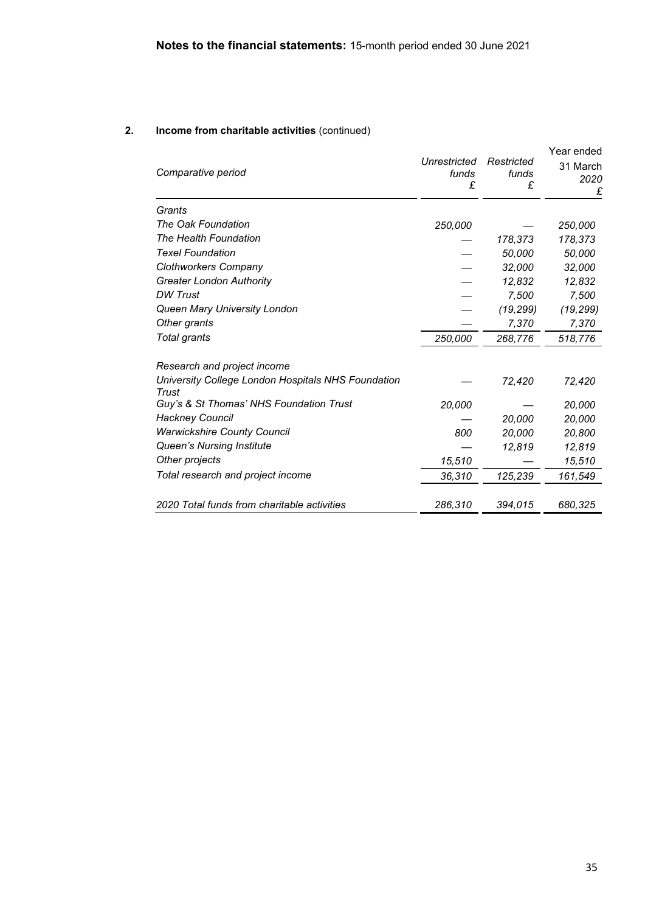# **2. Income from charitable activities** (continued)

| Comparative period                                          | Unrestricted<br>funds<br>£ | Restricted<br>funds<br>£ | Year ended<br>31 March<br>2020<br>£ |
|-------------------------------------------------------------|----------------------------|--------------------------|-------------------------------------|
| Grants                                                      |                            |                          |                                     |
| The Oak Foundation                                          | 250,000                    |                          | 250,000                             |
| The Health Foundation                                       |                            | 178,373                  | 178,373                             |
| <b>Texel Foundation</b>                                     |                            | 50,000                   | 50,000                              |
| <b>Clothworkers Company</b>                                 |                            | 32,000                   | 32,000                              |
| <b>Greater London Authority</b>                             |                            | 12,832                   | 12,832                              |
| <b>DW Trust</b>                                             |                            | 7,500                    | 7,500                               |
| Queen Mary University London                                |                            | (19, 299)                | (19, 299)                           |
| Other grants                                                |                            | 7,370                    | 7,370                               |
| Total grants                                                | 250,000                    | 268,776                  | 518,776                             |
| Research and project income                                 |                            |                          |                                     |
| University College London Hospitals NHS Foundation<br>Trust |                            | 72,420                   | 72,420                              |
| Guy's & St Thomas' NHS Foundation Trust                     | 20,000                     |                          | 20,000                              |
| <b>Hackney Council</b>                                      |                            | 20,000                   | 20,000                              |
| <b>Warwickshire County Council</b>                          | 800                        | 20,000                   | 20,800                              |
| Queen's Nursing Institute                                   |                            | 12,819                   | 12,819                              |
| Other projects                                              | 15,510                     |                          | 15,510                              |
| Total research and project income                           | 36,310                     | 125,239                  | 161,549                             |
| 2020 Total funds from charitable activities                 | 286,310                    | 394,015                  | 680,325                             |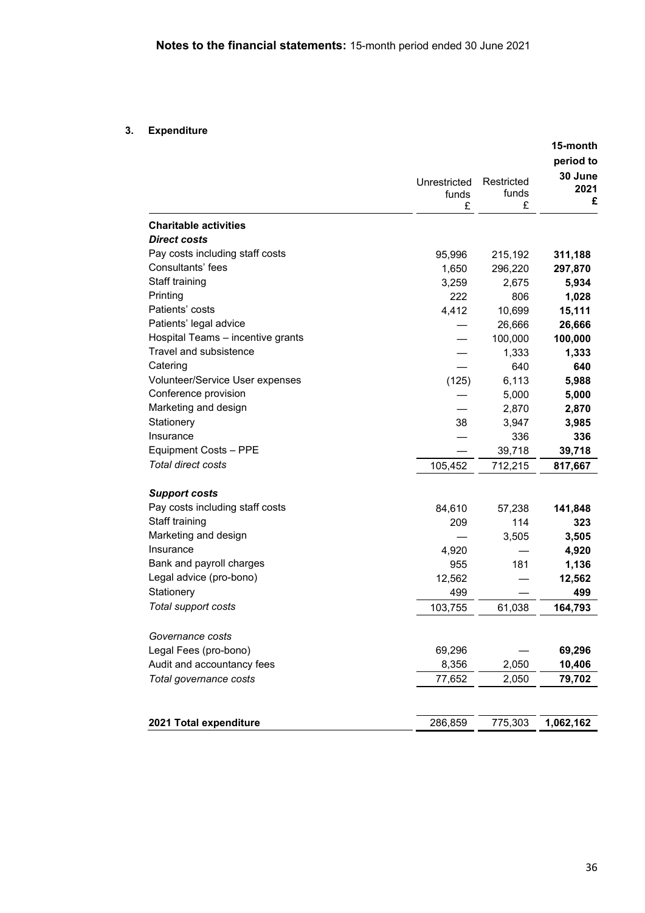# **3. Expenditure**

|                                   |                            |                          | 15-month<br>period to |
|-----------------------------------|----------------------------|--------------------------|-----------------------|
|                                   | Unrestricted<br>funds<br>£ | Restricted<br>funds<br>£ | 30 June<br>2021<br>£  |
| <b>Charitable activities</b>      |                            |                          |                       |
| <b>Direct costs</b>               |                            |                          |                       |
| Pay costs including staff costs   | 95,996                     | 215,192                  | 311,188               |
| Consultants' fees                 | 1,650                      | 296,220                  | 297,870               |
| Staff training                    | 3,259                      | 2,675                    | 5,934                 |
| Printing                          | 222                        | 806                      | 1,028                 |
| Patients' costs                   | 4,412                      | 10,699                   | 15,111                |
| Patients' legal advice            |                            | 26,666                   | 26,666                |
| Hospital Teams - incentive grants |                            | 100,000                  | 100,000               |
| Travel and subsistence            |                            | 1,333                    | 1,333                 |
| Catering                          |                            | 640                      | 640                   |
| Volunteer/Service User expenses   | (125)                      | 6,113                    | 5,988                 |
| Conference provision              |                            | 5,000                    | 5,000                 |
| Marketing and design              |                            | 2,870                    | 2,870                 |
| Stationery                        | 38                         | 3,947                    | 3,985                 |
| Insurance                         |                            | 336                      | 336                   |
| Equipment Costs - PPE             |                            | 39,718                   | 39,718                |
| Total direct costs                | 105,452                    | 712,215                  | 817,667               |
| <b>Support costs</b>              |                            |                          |                       |
| Pay costs including staff costs   | 84,610                     | 57,238                   | 141,848               |
| Staff training                    | 209                        | 114                      | 323                   |
| Marketing and design              |                            | 3,505                    | 3,505                 |
| Insurance                         | 4,920                      |                          | 4,920                 |
| Bank and payroll charges          | 955                        | 181                      | 1,136                 |
| Legal advice (pro-bono)           | 12,562                     |                          | 12,562                |
| Stationery                        | 499                        |                          | 499                   |
| Total support costs               | 103,755                    | 61,038                   | 164,793               |
| Governance costs                  |                            |                          |                       |
| Legal Fees (pro-bono)             | 69,296                     |                          | 69,296                |
| Audit and accountancy fees        | 8,356                      | 2,050                    | 10,406                |
| Total governance costs            | 77,652                     | 2,050                    | 79,702                |
|                                   |                            |                          |                       |
| 2021 Total expenditure            | 286,859                    | 775,303                  | 1,062,162             |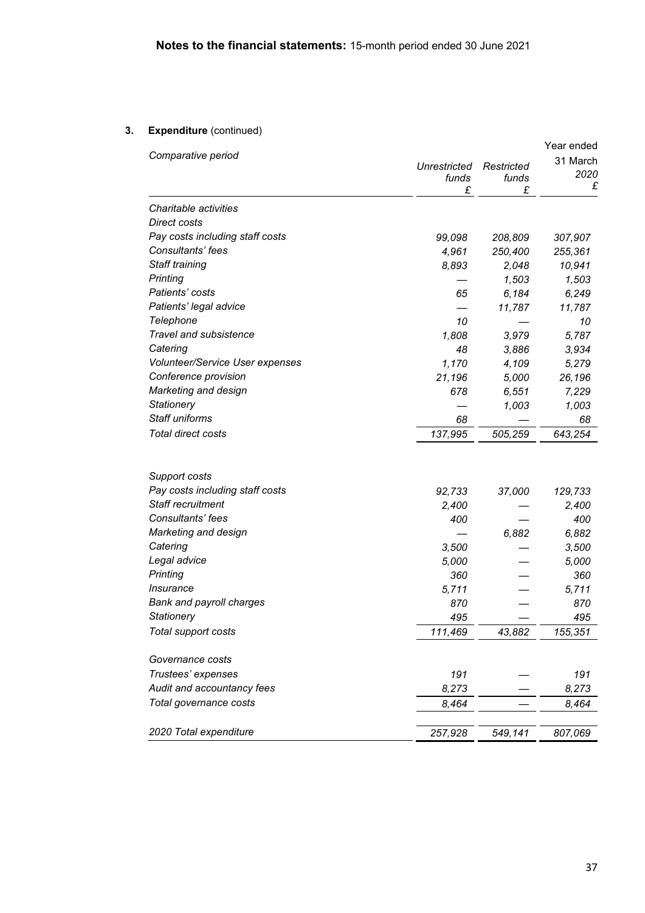# **3. Expenditure** (continued)

|                                                      | Year ended                 |                          |                       |  |
|------------------------------------------------------|----------------------------|--------------------------|-----------------------|--|
| Comparative period                                   | Unrestricted<br>funds<br>£ | Restricted<br>funds<br>£ | 31 March<br>2020<br>£ |  |
| Charitable activities                                |                            |                          |                       |  |
| <b>Direct costs</b>                                  |                            |                          |                       |  |
| Pay costs including staff costs                      | 99,098                     | 208,809                  | 307,907               |  |
| Consultants' fees                                    | 4,961                      | 250,400                  | 255,361               |  |
| Staff training                                       | 8,893                      | 2,048                    | 10,941                |  |
| Printing                                             |                            | 1,503                    | 1,503                 |  |
| Patients' costs                                      | 65                         | 6,184                    | 6,249                 |  |
| Patients' legal advice                               |                            | 11,787                   | 11,787                |  |
| Telephone                                            | 10                         |                          | 10                    |  |
| Travel and subsistence                               | 1,808                      | 3,979                    | 5,787                 |  |
| Catering                                             | 48                         | 3,886                    | 3,934                 |  |
| <b>Volunteer/Service User expenses</b>               | 1,170                      | 4,109                    | 5,279                 |  |
| Conference provision                                 | 21,196                     | 5,000                    | 26,196                |  |
| Marketing and design                                 | 678                        | 6,551                    | 7,229                 |  |
| Stationery                                           |                            | 1,003                    | 1,003                 |  |
| Staff uniforms                                       | 68                         |                          | 68                    |  |
| Total direct costs                                   | 137,995                    | 505,259                  | 643,254               |  |
|                                                      |                            |                          |                       |  |
| Support costs                                        |                            |                          |                       |  |
| Pay costs including staff costs<br>Staff recruitment | 92,733                     | 37,000                   | 129,733               |  |
| Consultants' fees                                    | 2,400                      |                          | 2,400                 |  |
|                                                      | 400                        |                          | 400                   |  |
| Marketing and design                                 |                            | 6,882                    | 6,882                 |  |
| Catering                                             | 3,500                      |                          | 3,500                 |  |
| Legal advice<br>Printing                             | 5,000                      |                          | 5,000                 |  |
| <i><b>Insurance</b></i>                              | 360<br>5,711               |                          | 360                   |  |
| <b>Bank and payroll charges</b>                      |                            |                          | 5,711                 |  |
| <b>Stationery</b>                                    | 870                        |                          | 870                   |  |
|                                                      | 495                        |                          | 495                   |  |
| Total support costs                                  | 111,469                    | 43,882                   | 155,351               |  |
| Governance costs                                     |                            |                          |                       |  |
| Trustees' expenses                                   | 191                        |                          | 191                   |  |
| Audit and accountancy fees                           | 8,273                      |                          | 8,273                 |  |
| Total governance costs                               | 8,464                      |                          | 8,464                 |  |
| 2020 Total expenditure                               | 257,928                    | 549,141                  | 807,069               |  |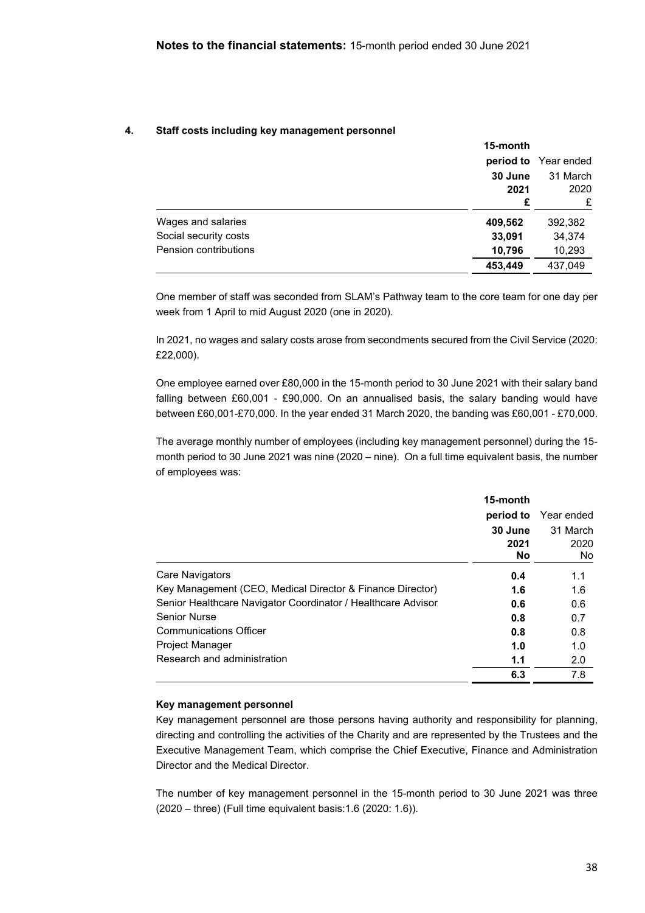### **4. Staff costs including key management personnel**

|                       | 15-month        |                      |
|-----------------------|-----------------|----------------------|
|                       |                 | period to Year ended |
|                       | 30 June<br>2021 | 31 March<br>2020     |
|                       | £               | £                    |
| Wages and salaries    | 409,562         | 392,382              |
| Social security costs | 33,091          | 34,374               |
| Pension contributions | 10,796          | 10,293               |
|                       | 453,449         | 437,049              |

One member of staff was seconded from SLAM's Pathway team to the core team for one day per week from 1 April to mid August 2020 (one in 2020).

In 2021, no wages and salary costs arose from secondments secured from the Civil Service (2020: £22,000).

One employee earned over £80,000 in the 15-month period to 30 June 2021 with their salary band falling between £60,001 - £90,000. On an annualised basis, the salary banding would have between £60,001-£70,000. In the year ended 31 March 2020, the banding was £60,001 - £70,000.

The average monthly number of employees (including key management personnel) during the 15 month period to 30 June 2021 was nine (2020 – nine). On a full time equivalent basis, the number of employees was:

|                                                              | 15-month<br>period to<br>30 June<br>2021<br><b>No</b> | Year ended<br>31 March<br>2020<br>No. |
|--------------------------------------------------------------|-------------------------------------------------------|---------------------------------------|
|                                                              |                                                       |                                       |
| Care Navigators                                              | 0.4                                                   | 1.1                                   |
| Key Management (CEO, Medical Director & Finance Director)    | 1.6                                                   | 1.6                                   |
| Senior Healthcare Navigator Coordinator / Healthcare Advisor | 0.6                                                   | 0.6                                   |
| <b>Senior Nurse</b>                                          | 0.8                                                   | 0.7                                   |
| <b>Communications Officer</b>                                | 0.8                                                   | 0.8                                   |
| <b>Project Manager</b>                                       | 1.0                                                   | 1.0                                   |
| Research and administration                                  | 1.1                                                   | 2.0                                   |
|                                                              | 6.3                                                   | 7.8                                   |

#### **Key management personnel**

Key management personnel are those persons having authority and responsibility for planning, directing and controlling the activities of the Charity and are represented by the Trustees and the Executive Management Team, which comprise the Chief Executive, Finance and Administration Director and the Medical Director.

The number of key management personnel in the 15-month period to 30 June 2021 was three (2020 – three) (Full time equivalent basis:1.6 (2020: 1.6)).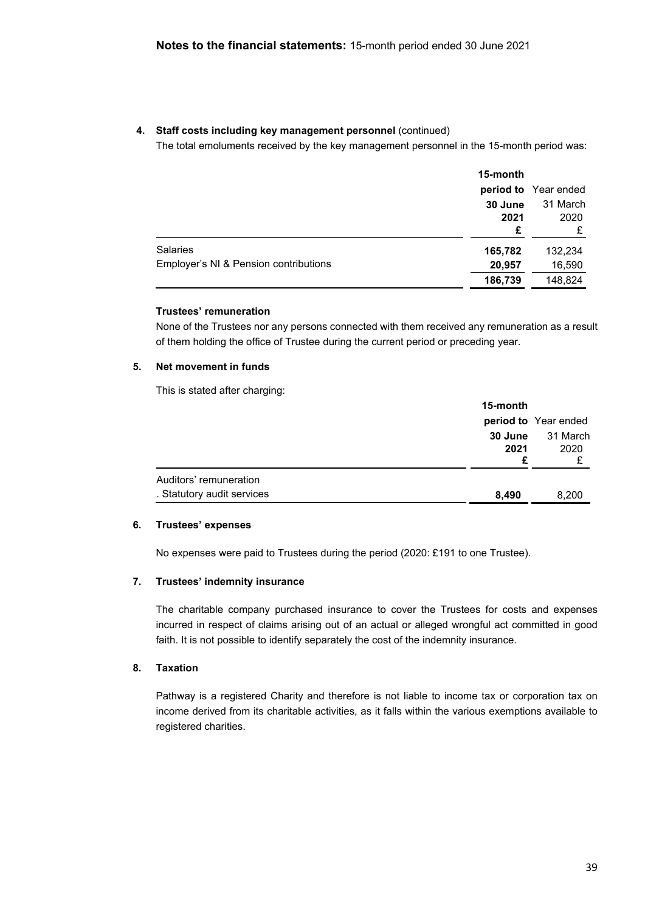# **4. Staff costs including key management personnel** (continued)

The total emoluments received by the key management personnel in the 15-month period was:

| 15-month                                        |                      |
|-------------------------------------------------|----------------------|
|                                                 | period to Year ended |
| 30 June                                         | 31 March             |
| 2021                                            | 2020                 |
| £                                               | £                    |
| <b>Salaries</b><br>165,782                      | 132,234              |
| Employer's NI & Pension contributions<br>20,957 | 16,590               |
| 186,739                                         | 148,824              |

### **Trustees' remuneration**

None of the Trustees nor any persons connected with them received any remuneration as a result of them holding the office of Trustee during the current period or preceding year.

# **5. Net movement in funds**

This is stated after charging:

|                                                      | 15-month        |                      |
|------------------------------------------------------|-----------------|----------------------|
|                                                      |                 | period to Year ended |
|                                                      | 30 June<br>2021 | 31 March<br>2020     |
| Auditors' remuneration<br>. Statutory audit services | 8.490           | 8,200                |

### **6. Trustees' expenses**

No expenses were paid to Trustees during the period (2020: £191 to one Trustee).

### **7. Trustees' indemnity insurance**

The charitable company purchased insurance to cover the Trustees for costs and expenses incurred in respect of claims arising out of an actual or alleged wrongful act committed in good faith. It is not possible to identify separately the cost of the indemnity insurance.

### **8. Taxation**

Pathway is a registered Charity and therefore is not liable to income tax or corporation tax on income derived from its charitable activities, as it falls within the various exemptions available to registered charities.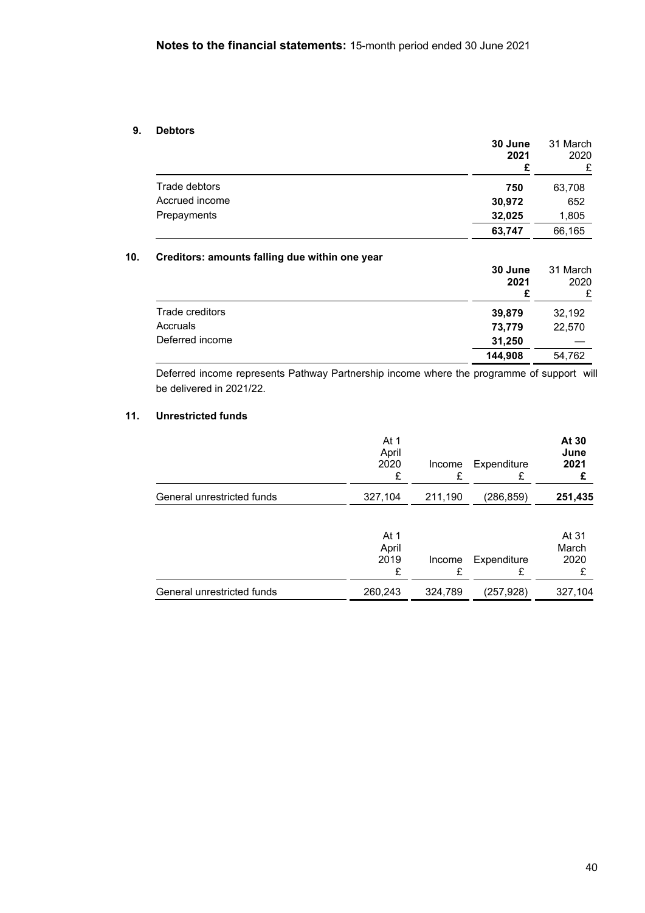## **9. Debtors**

|                | 30 June<br>2021<br>£ | 31 March<br>2020<br>£ |
|----------------|----------------------|-----------------------|
| Trade debtors  | 750                  | 63,708                |
| Accrued income | 30,972               | 652                   |
| Prepayments    | 32,025               | 1,805                 |
|                | 63,747               | 66,165                |

# **10. Creditors: amounts falling due within one year**

|                 | 30 June<br>2021<br>£ | 31 March<br>2020<br>£ |
|-----------------|----------------------|-----------------------|
| Trade creditors | 39,879               | 32,192                |
| Accruals        | 73,779               | 22,570                |
| Deferred income | 31,250               |                       |
|                 | 144,908              | 54,762                |

Deferred income represents Pathway Partnership income where the programme of support will be delivered in 2021/22.

# **11. Unrestricted funds**

|                            | At 1<br>April<br>2020<br>£ | Income<br>F | Expenditure<br>£ | At 30<br>June<br>2021  |
|----------------------------|----------------------------|-------------|------------------|------------------------|
| General unrestricted funds | 327,104                    | 211,190     | (286,859)        | 251,435                |
|                            | At 1<br>April<br>2019<br>£ | Income<br>£ | Expenditure<br>£ | At 31<br>March<br>2020 |
| General unrestricted funds | 260,243                    | 324,789     | (257,928)        | 327,104                |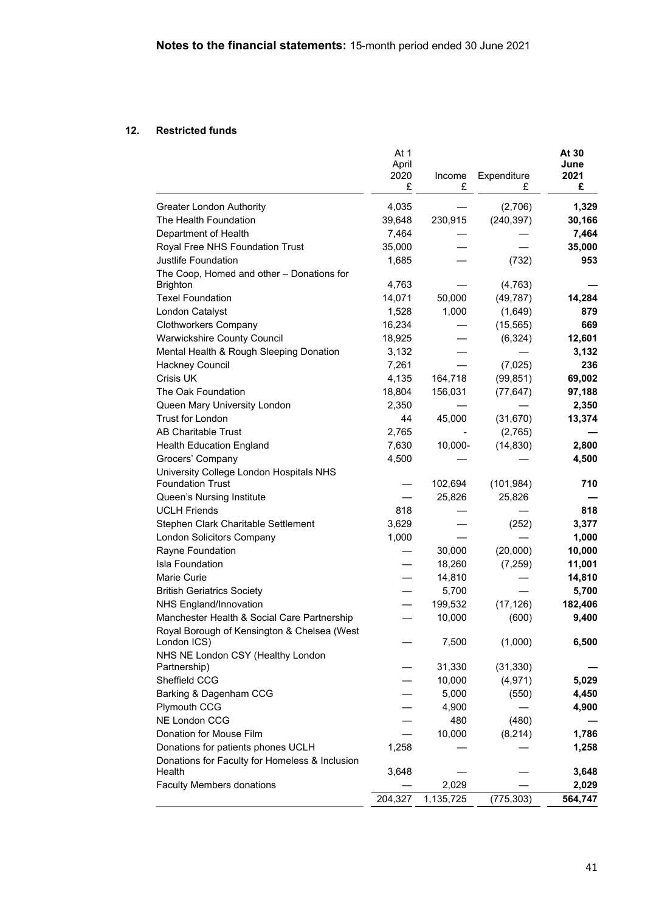# **12. Restricted funds**

|                                                                                            | At 1<br>April<br>2020<br>£ | Income<br>£ | Expenditure<br>£ | At 30<br>June<br>2021<br>£ |
|--------------------------------------------------------------------------------------------|----------------------------|-------------|------------------|----------------------------|
| <b>Greater London Authority</b>                                                            | 4,035                      |             | (2,706)          | 1,329                      |
| The Health Foundation                                                                      | 39,648                     | 230,915     | (240, 397)       | 30,166                     |
| Department of Health                                                                       | 7,464                      |             |                  | 7,464                      |
| Royal Free NHS Foundation Trust                                                            | 35,000                     |             |                  | 35,000                     |
| Justlife Foundation                                                                        | 1,685                      |             | (732)            | 953                        |
| The Coop, Homed and other - Donations for<br><b>Brighton</b>                               | 4,763                      |             | (4, 763)         |                            |
| <b>Texel Foundation</b>                                                                    | 14,071                     | 50,000      | (49, 787)        | 14,284                     |
| London Catalyst                                                                            | 1,528                      | 1,000       | (1,649)          | 879                        |
| <b>Clothworkers Company</b>                                                                | 16,234                     |             | (15, 565)        | 669                        |
| <b>Warwickshire County Council</b>                                                         | 18,925                     |             | (6, 324)         | 12,601                     |
| Mental Health & Rough Sleeping Donation                                                    | 3,132                      |             |                  | 3,132                      |
| Hackney Council                                                                            | 7,261                      |             | (7,025)          | 236                        |
| Crisis UK                                                                                  | 4,135                      | 164,718     | (99, 851)        | 69,002                     |
| The Oak Foundation                                                                         | 18,804                     | 156,031     | (77, 647)        | 97,188                     |
| Queen Mary University London                                                               | 2,350                      |             |                  | 2,350                      |
| <b>Trust for London</b>                                                                    | 44                         | 45,000      | (31, 670)        | 13,374                     |
| <b>AB Charitable Trust</b>                                                                 | 2,765                      |             | (2,765)          |                            |
| <b>Health Education England</b>                                                            | 7,630                      | 10,000-     | (14, 830)        | 2,800                      |
| Grocers' Company                                                                           | 4,500                      |             |                  | 4,500                      |
| University College London Hospitals NHS                                                    |                            |             |                  |                            |
| <b>Foundation Trust</b>                                                                    |                            | 102,694     | (101, 984)       | 710                        |
| Queen's Nursing Institute                                                                  |                            | 25,826      | 25,826           |                            |
| <b>UCLH Friends</b>                                                                        | 818                        |             |                  | 818                        |
| Stephen Clark Charitable Settlement                                                        | 3,629                      |             | (252)            | 3,377                      |
| London Solicitors Company                                                                  | 1,000                      |             |                  | 1,000                      |
| Rayne Foundation                                                                           |                            | 30,000      | (20,000)         | 10,000                     |
| <b>Isla Foundation</b>                                                                     |                            | 18,260      | (7, 259)         | 11,001                     |
| Marie Curie                                                                                |                            | 14,810      |                  | 14,810                     |
| <b>British Geriatrics Society</b>                                                          |                            | 5,700       |                  | 5,700                      |
| <b>NHS England/Innovation</b>                                                              |                            | 199,532     | (17, 126)        | 182,406                    |
| Manchester Health & Social Care Partnership<br>Royal Borough of Kensington & Chelsea (West |                            | 10,000      | (600)            | 9,400                      |
| London ICS)                                                                                |                            | 7,500       | (1,000)          | 6,500                      |
| NHS NE London CSY (Healthy London<br>Partnership)                                          |                            | 31,330      | (31, 330)        |                            |
| Sheffield CCG                                                                              |                            | 10,000      | (4, 971)         | 5,029                      |
| Barking & Dagenham CCG                                                                     |                            | 5,000       | (550)            | 4,450                      |
| <b>Plymouth CCG</b>                                                                        |                            | 4,900       |                  | 4,900                      |
| NE London CCG                                                                              |                            | 480         | (480)            |                            |
| Donation for Mouse Film                                                                    |                            | 10,000      | (8, 214)         | 1,786                      |
| Donations for patients phones UCLH                                                         | 1,258                      |             |                  | 1,258                      |
| Donations for Faculty for Homeless & Inclusion                                             |                            |             |                  |                            |
| Health                                                                                     | 3,648                      |             |                  | 3,648                      |
| <b>Faculty Members donations</b>                                                           |                            | 2,029       |                  | 2,029                      |
|                                                                                            | 204,327                    | 1,135,725   | (775, 303)       | 564,747                    |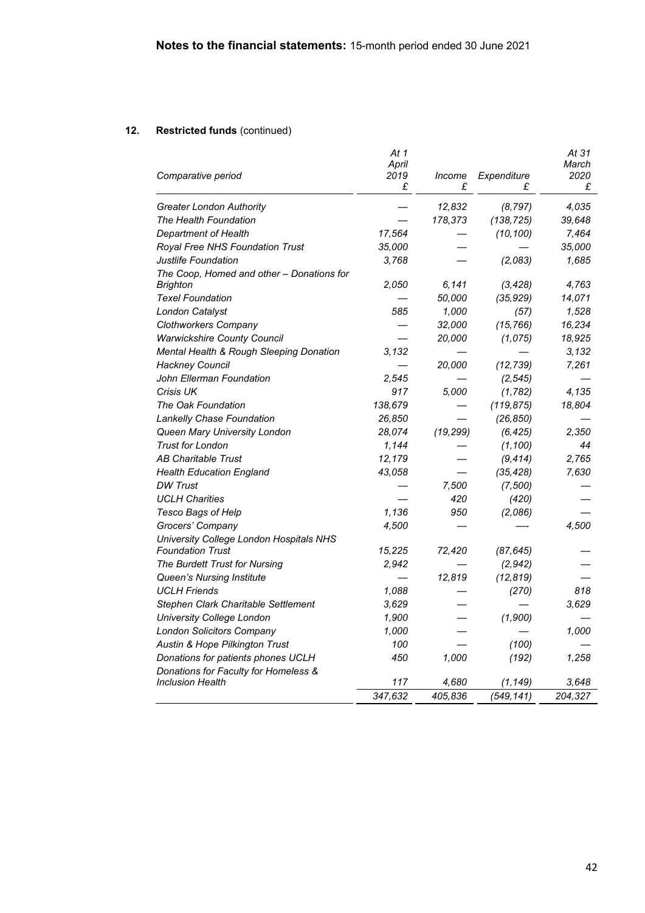|                                           | At 1          |           |             | At 31         |
|-------------------------------------------|---------------|-----------|-------------|---------------|
| Comparative period                        | April<br>2019 | Income    | Expenditure | March<br>2020 |
|                                           | £             | £         | £           | £             |
| <b>Greater London Authority</b>           |               | 12,832    | (8, 797)    | 4,035         |
| The Health Foundation                     |               | 178,373   | (138, 725)  | 39,648        |
| Department of Health                      | 17,564        |           | (10, 100)   | 7,464         |
| Royal Free NHS Foundation Trust           | 35,000        |           |             | 35,000        |
| Justlife Foundation                       | 3,768         |           | (2,083)     | 1,685         |
| The Coop, Homed and other - Donations for |               |           |             |               |
| Brighton                                  | 2.050         | 6.141     | (3, 428)    | 4,763         |
| <b>Texel Foundation</b>                   |               | 50,000    | (35, 929)   | 14,071        |
| London Catalyst                           | 585           | 1,000     | (57)        | 1,528         |
| Clothworkers Company                      |               | 32,000    | (15, 766)   | 16,234        |
| <b>Warwickshire County Council</b>        |               | 20,000    | (1,075)     | 18,925        |
| Mental Health & Rough Sleeping Donation   | 3.132         |           |             | 3.132         |
| Hackney Council                           |               | 20,000    | (12, 739)   | 7,261         |
| John Ellerman Foundation                  | 2,545         |           | (2, 545)    |               |
| Crisis UK                                 | 917           | 5,000     | (1, 782)    | 4,135         |
| The Oak Foundation                        | 138,679       |           | (119, 875)  | 18,804        |
| Lankelly Chase Foundation                 | 26,850        |           | (26, 850)   |               |
| Queen Mary University London              | 28,074        | (19, 299) | (6,425)     | 2,350         |
| <b>Trust for London</b>                   | 1,144         |           | (1, 100)    | 44            |
| <b>AB Charitable Trust</b>                | 12,179        |           | (9, 414)    | 2,765         |
| <b>Health Education England</b>           | 43,058        |           | (35, 428)   | 7,630         |
| <b>DW Trust</b>                           |               | 7,500     | (7, 500)    |               |
| <b>UCLH Charities</b>                     |               | 420       | (420)       |               |
| Tesco Bags of Help                        | 1,136         | 950       | (2.086)     |               |
| Grocers' Company                          | 4,500         |           |             | 4,500         |
| University College London Hospitals NHS   |               |           |             |               |
| <b>Foundation Trust</b>                   | 15,225        | 72,420    | (87, 645)   |               |
| The Burdett Trust for Nursing             | 2,942         |           | (2,942)     |               |
| Queen's Nursing Institute                 |               | 12,819    | (12, 819)   |               |
| <b>UCLH Friends</b>                       | 1,088         |           | (270)       | 818           |
| Stephen Clark Charitable Settlement       | 3.629         |           |             | 3,629         |
| University College London                 | 1,900         |           | (1,900)     |               |
| <b>London Solicitors Company</b>          | 1,000         |           |             | 1,000         |
| Austin & Hope Pilkington Trust            | 100           |           | (100)       |               |
| Donations for patients phones UCLH        | 450           | 1,000     | (192)       | 1,258         |
| Donations for Faculty for Homeless &      |               |           |             |               |
| <b>Inclusion Health</b>                   | 117           | 4,680     | (1, 149)    | 3,648         |
|                                           | 347,632       | 405,836   | (549, 141)  | 204,327       |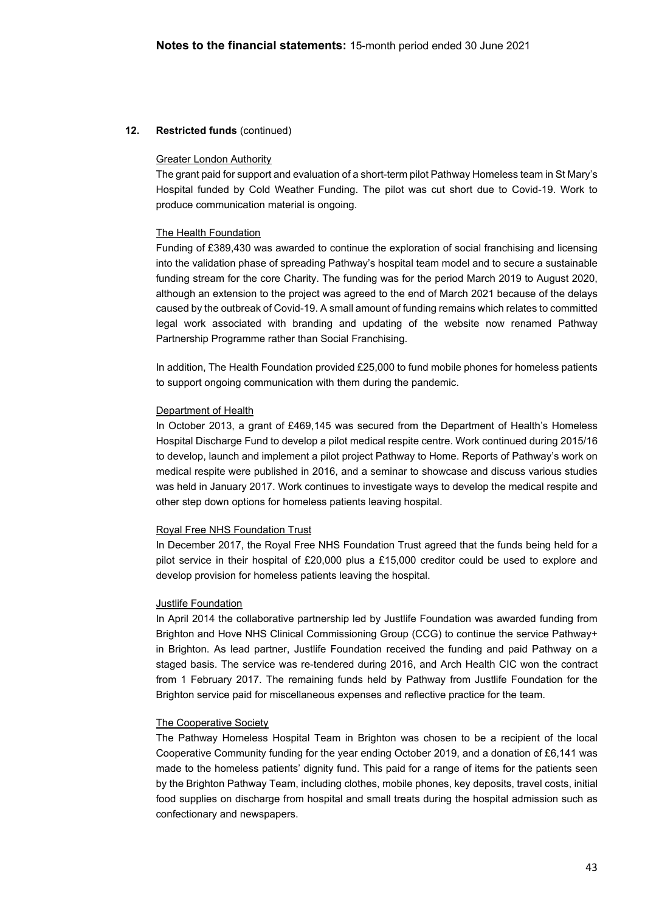### Greater London Authority

The grant paid for support and evaluation of a short-term pilot Pathway Homeless team in St Mary's Hospital funded by Cold Weather Funding. The pilot was cut short due to Covid-19. Work to produce communication material is ongoing.

### The Health Foundation

Funding of £389,430 was awarded to continue the exploration of social franchising and licensing into the validation phase of spreading Pathway's hospital team model and to secure a sustainable funding stream for the core Charity. The funding was for the period March 2019 to August 2020, although an extension to the project was agreed to the end of March 2021 because of the delays caused by the outbreak of Covid-19. A small amount of funding remains which relates to committed legal work associated with branding and updating of the website now renamed Pathway Partnership Programme rather than Social Franchising.

In addition, The Health Foundation provided £25,000 to fund mobile phones for homeless patients to support ongoing communication with them during the pandemic.

#### Department of Health

In October 2013, a grant of £469,145 was secured from the Department of Health's Homeless Hospital Discharge Fund to develop a pilot medical respite centre. Work continued during 2015/16 to develop, launch and implement a pilot project Pathway to Home. Reports of Pathway's work on medical respite were published in 2016, and a seminar to showcase and discuss various studies was held in January 2017. Work continues to investigate ways to develop the medical respite and other step down options for homeless patients leaving hospital.

#### Royal Free NHS Foundation Trust

In December 2017, the Royal Free NHS Foundation Trust agreed that the funds being held for a pilot service in their hospital of £20,000 plus a £15,000 creditor could be used to explore and develop provision for homeless patients leaving the hospital.

#### Justlife Foundation

In April 2014 the collaborative partnership led by Justlife Foundation was awarded funding from Brighton and Hove NHS Clinical Commissioning Group (CCG) to continue the service Pathway+ in Brighton. As lead partner, Justlife Foundation received the funding and paid Pathway on a staged basis. The service was re-tendered during 2016, and Arch Health CIC won the contract from 1 February 2017. The remaining funds held by Pathway from Justlife Foundation for the Brighton service paid for miscellaneous expenses and reflective practice for the team.

#### The Cooperative Society

The Pathway Homeless Hospital Team in Brighton was chosen to be a recipient of the local Cooperative Community funding for the year ending October 2019, and a donation of £6,141 was made to the homeless patients' dignity fund. This paid for a range of items for the patients seen by the Brighton Pathway Team, including clothes, mobile phones, key deposits, travel costs, initial food supplies on discharge from hospital and small treats during the hospital admission such as confectionary and newspapers.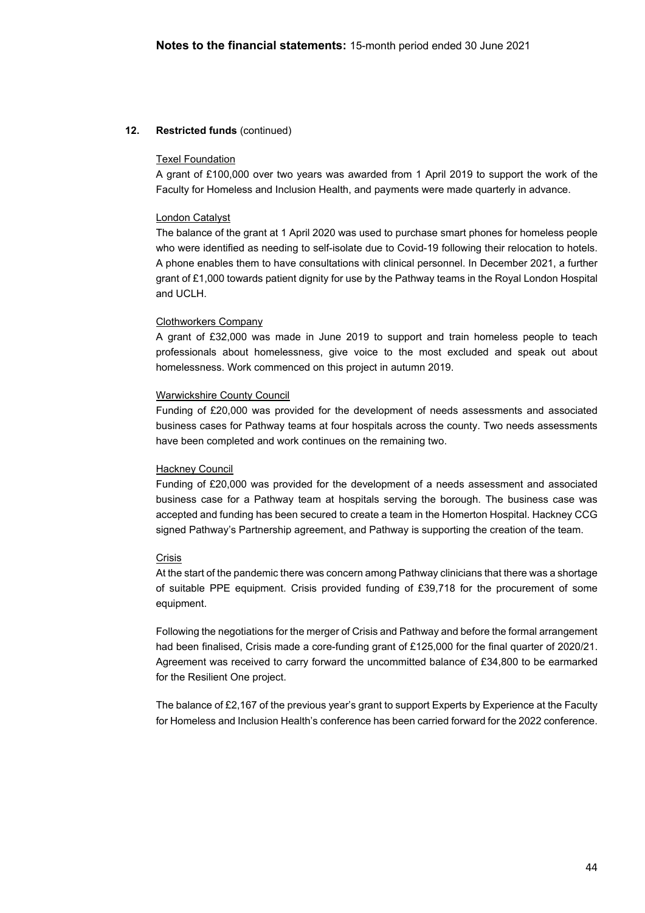### Texel Foundation

A grant of £100,000 over two years was awarded from 1 April 2019 to support the work of the Faculty for Homeless and Inclusion Health, and payments were made quarterly in advance.

#### London Catalyst

The balance of the grant at 1 April 2020 was used to purchase smart phones for homeless people who were identified as needing to self-isolate due to Covid-19 following their relocation to hotels. A phone enables them to have consultations with clinical personnel. In December 2021, a further grant of £1,000 towards patient dignity for use by the Pathway teams in the Royal London Hospital and UCLH.

#### Clothworkers Company

A grant of £32,000 was made in June 2019 to support and train homeless people to teach professionals about homelessness, give voice to the most excluded and speak out about homelessness. Work commenced on this project in autumn 2019.

#### Warwickshire County Council

Funding of £20,000 was provided for the development of needs assessments and associated business cases for Pathway teams at four hospitals across the county. Two needs assessments have been completed and work continues on the remaining two.

#### Hackney Council

Funding of £20,000 was provided for the development of a needs assessment and associated business case for a Pathway team at hospitals serving the borough. The business case was accepted and funding has been secured to create a team in the Homerton Hospital. Hackney CCG signed Pathway's Partnership agreement, and Pathway is supporting the creation of the team.

#### Crisis

At the start of the pandemic there was concern among Pathway clinicians that there was a shortage of suitable PPE equipment. Crisis provided funding of £39,718 for the procurement of some equipment.

Following the negotiations for the merger of Crisis and Pathway and before the formal arrangement had been finalised, Crisis made a core-funding grant of £125,000 for the final quarter of 2020/21. Agreement was received to carry forward the uncommitted balance of £34,800 to be earmarked for the Resilient One project.

The balance of £2,167 of the previous year's grant to support Experts by Experience at the Faculty for Homeless and Inclusion Health's conference has been carried forward for the 2022 conference.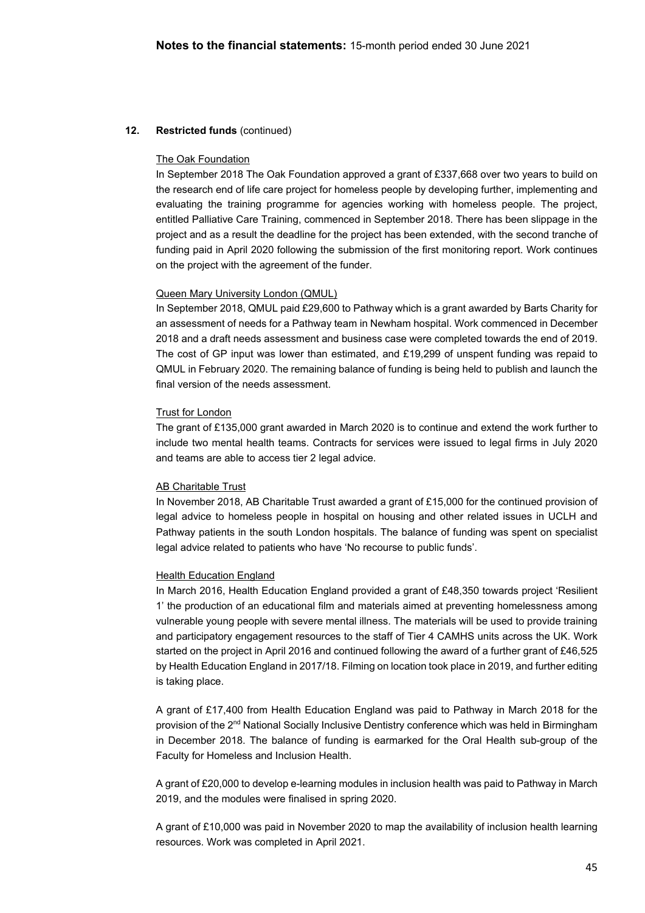### The Oak Foundation

In September 2018 The Oak Foundation approved a grant of £337,668 over two years to build on the research end of life care project for homeless people by developing further, implementing and evaluating the training programme for agencies working with homeless people. The project, entitled Palliative Care Training, commenced in September 2018. There has been slippage in the project and as a result the deadline for the project has been extended, with the second tranche of funding paid in April 2020 following the submission of the first monitoring report. Work continues on the project with the agreement of the funder.

#### Queen Mary University London (QMUL)

In September 2018, QMUL paid £29,600 to Pathway which is a grant awarded by Barts Charity for an assessment of needs for a Pathway team in Newham hospital. Work commenced in December 2018 and a draft needs assessment and business case were completed towards the end of 2019. The cost of GP input was lower than estimated, and £19,299 of unspent funding was repaid to QMUL in February 2020. The remaining balance of funding is being held to publish and launch the final version of the needs assessment.

#### Trust for London

The grant of £135,000 grant awarded in March 2020 is to continue and extend the work further to include two mental health teams. Contracts for services were issued to legal firms in July 2020 and teams are able to access tier 2 legal advice.

#### AB Charitable Trust

In November 2018, AB Charitable Trust awarded a grant of £15,000 for the continued provision of legal advice to homeless people in hospital on housing and other related issues in UCLH and Pathway patients in the south London hospitals. The balance of funding was spent on specialist legal advice related to patients who have 'No recourse to public funds'.

### Health Education England

In March 2016, Health Education England provided a grant of £48,350 towards project 'Resilient 1' the production of an educational film and materials aimed at preventing homelessness among vulnerable young people with severe mental illness. The materials will be used to provide training and participatory engagement resources to the staff of Tier 4 CAMHS units across the UK. Work started on the project in April 2016 and continued following the award of a further grant of £46,525 by Health Education England in 2017/18. Filming on location took place in 2019, and further editing is taking place.

A grant of £17,400 from Health Education England was paid to Pathway in March 2018 for the provision of the 2<sup>nd</sup> National Socially Inclusive Dentistry conference which was held in Birmingham in December 2018. The balance of funding is earmarked for the Oral Health sub-group of the Faculty for Homeless and Inclusion Health.

A grant of £20,000 to develop e-learning modules in inclusion health was paid to Pathway in March 2019, and the modules were finalised in spring 2020.

A grant of £10,000 was paid in November 2020 to map the availability of inclusion health learning resources. Work was completed in April 2021.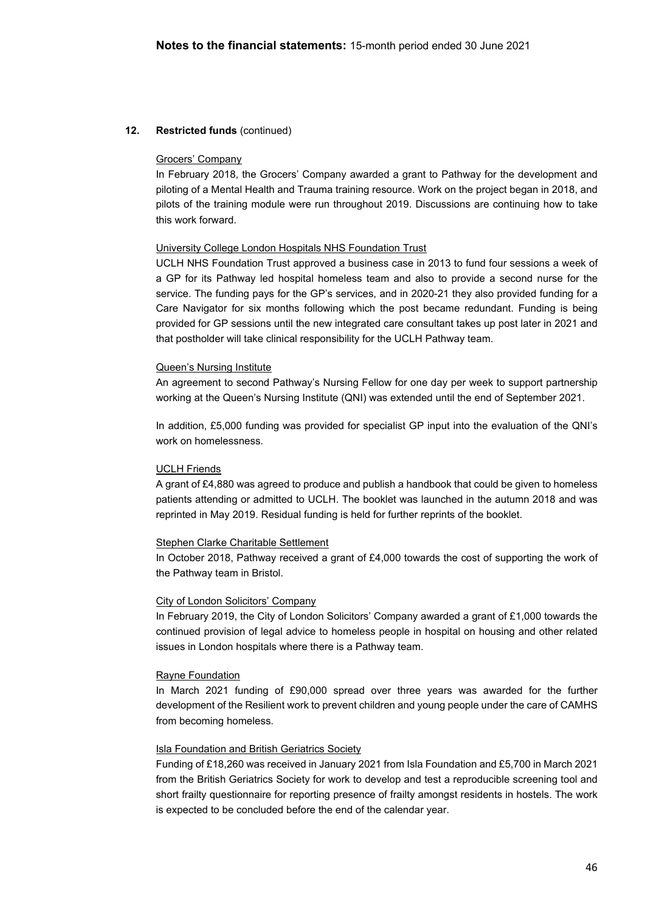### Grocers' Company

In February 2018, the Grocers' Company awarded a grant to Pathway for the development and piloting of a Mental Health and Trauma training resource. Work on the project began in 2018, and pilots of the training module were run throughout 2019. Discussions are continuing how to take this work forward.

### University College London Hospitals NHS Foundation Trust

UCLH NHS Foundation Trust approved a business case in 2013 to fund four sessions a week of a GP for its Pathway led hospital homeless team and also to provide a second nurse for the service. The funding pays for the GP's services, and in 2020-21 they also provided funding for a Care Navigator for six months following which the post became redundant. Funding is being provided for GP sessions until the new integrated care consultant takes up post later in 2021 and that postholder will take clinical responsibility for the UCLH Pathway team.

#### Queen's Nursing Institute

An agreement to second Pathway's Nursing Fellow for one day per week to support partnership working at the Queen's Nursing Institute (QNI) was extended until the end of September 2021.

In addition, £5,000 funding was provided for specialist GP input into the evaluation of the QNI's work on homelessness.

#### UCLH Friends

A grant of £4,880 was agreed to produce and publish a handbook that could be given to homeless patients attending or admitted to UCLH. The booklet was launched in the autumn 2018 and was reprinted in May 2019. Residual funding is held for further reprints of the booklet.

#### Stephen Clarke Charitable Settlement

In October 2018, Pathway received a grant of £4,000 towards the cost of supporting the work of the Pathway team in Bristol.

#### City of London Solicitors' Company

In February 2019, the City of London Solicitors' Company awarded a grant of £1,000 towards the continued provision of legal advice to homeless people in hospital on housing and other related issues in London hospitals where there is a Pathway team.

### Rayne Foundation

In March 2021 funding of £90,000 spread over three years was awarded for the further development of the Resilient work to prevent children and young people under the care of CAMHS from becoming homeless.

#### Isla Foundation and British Geriatrics Society

Funding of £18,260 was received in January 2021 from Isla Foundation and £5,700 in March 2021 from the British Geriatrics Society for work to develop and test a reproducible screening tool and short frailty questionnaire for reporting presence of frailty amongst residents in hostels. The work is expected to be concluded before the end of the calendar year.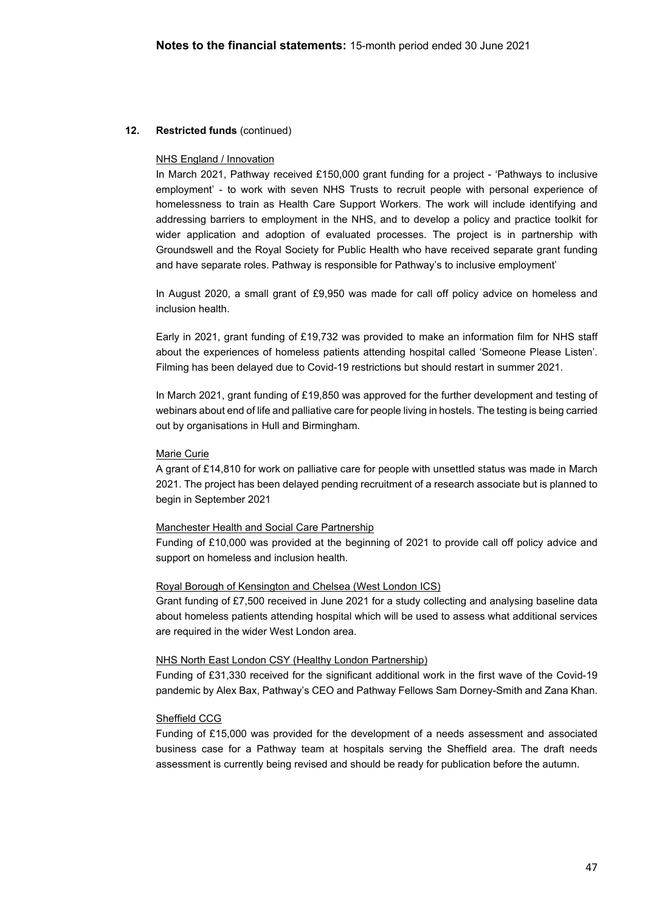### NHS England / Innovation

In March 2021, Pathway received £150,000 grant funding for a project - 'Pathways to inclusive employment' - to work with seven NHS Trusts to recruit people with personal experience of homelessness to train as Health Care Support Workers. The work will include identifying and addressing barriers to employment in the NHS, and to develop a policy and practice toolkit for wider application and adoption of evaluated processes. The project is in partnership with Groundswell and the Royal Society for Public Health who have received separate grant funding and have separate roles. Pathway is responsible for Pathway's to inclusive employment'

In August 2020, a small grant of £9,950 was made for call off policy advice on homeless and inclusion health.

Early in 2021, grant funding of £19,732 was provided to make an information film for NHS staff about the experiences of homeless patients attending hospital called 'Someone Please Listen'. Filming has been delayed due to Covid-19 restrictions but should restart in summer 2021.

In March 2021, grant funding of £19,850 was approved for the further development and testing of webinars about end of life and palliative care for people living in hostels. The testing is being carried out by organisations in Hull and Birmingham.

#### Marie Curie

A grant of £14,810 for work on palliative care for people with unsettled status was made in March 2021. The project has been delayed pending recruitment of a research associate but is planned to begin in September 2021

### Manchester Health and Social Care Partnership

Funding of £10,000 was provided at the beginning of 2021 to provide call off policy advice and support on homeless and inclusion health.

#### Royal Borough of Kensington and Chelsea (West London ICS)

Grant funding of £7,500 received in June 2021 for a study collecting and analysing baseline data about homeless patients attending hospital which will be used to assess what additional services are required in the wider West London area.

#### NHS North East London CSY (Healthy London Partnership)

Funding of £31,330 received for the significant additional work in the first wave of the Covid-19 pandemic by Alex Bax, Pathway's CEO and Pathway Fellows Sam Dorney-Smith and Zana Khan.

#### Sheffield CCG

Funding of £15,000 was provided for the development of a needs assessment and associated business case for a Pathway team at hospitals serving the Sheffield area. The draft needs assessment is currently being revised and should be ready for publication before the autumn.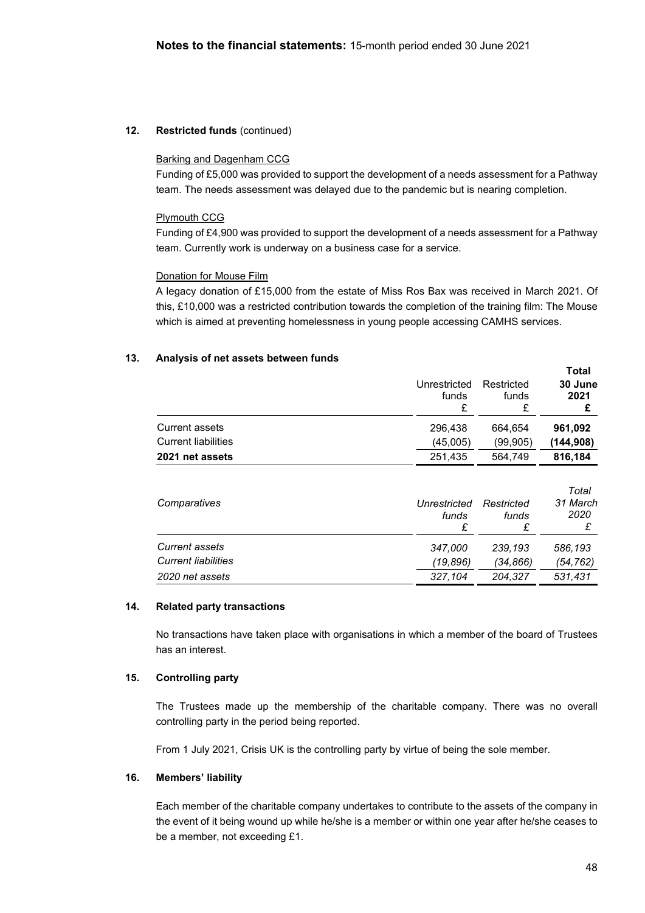### Barking and Dagenham CCG

Funding of £5,000 was provided to support the development of a needs assessment for a Pathway team. The needs assessment was delayed due to the pandemic but is nearing completion.

## Plymouth CCG

Funding of £4,900 was provided to support the development of a needs assessment for a Pathway team. Currently work is underway on a business case for a service.

## Donation for Mouse Film

A legacy donation of £15,000 from the estate of Miss Ros Bax was received in March 2021. Of this, £10,000 was a restricted contribution towards the completion of the training film: The Mouse which is aimed at preventing homelessness in young people accessing CAMHS services.

# **13. Analysis of net assets between funds**

|                            |                            |                          | i otal                         |
|----------------------------|----------------------------|--------------------------|--------------------------------|
|                            | Unrestricted               | Restricted               | 30 June                        |
|                            | funds                      | funds                    | 2021                           |
|                            | £                          | £                        | £                              |
| <b>Current assets</b>      | 296,438                    | 664,654                  | 961,092                        |
| <b>Current liabilities</b> | (45,005)                   | (99,905)                 | (144,908)                      |
| 2021 net assets            | 251,435                    | 564,749                  | 816,184                        |
| Comparatives               | Unrestricted<br>funds<br>£ | Restricted<br>funds<br>£ | Total<br>31 March<br>2020<br>£ |
| Current assets             | 347,000                    | 239,193                  | 586,193                        |
| <b>Current liabilities</b> | (19, 896)                  | (34,866)                 | (54,762)                       |
| 2020 net assets            | 327,104                    | 204,327                  | 531,431                        |
|                            |                            |                          |                                |

### **14. Related party transactions**

No transactions have taken place with organisations in which a member of the board of Trustees has an interest.

### **15. Controlling party**

The Trustees made up the membership of the charitable company. There was no overall controlling party in the period being reported.

From 1 July 2021, Crisis UK is the controlling party by virtue of being the sole member.

### **16. Members' liability**

Each member of the charitable company undertakes to contribute to the assets of the company in the event of it being wound up while he/she is a member or within one year after he/she ceases to be a member, not exceeding £1.

**Total**